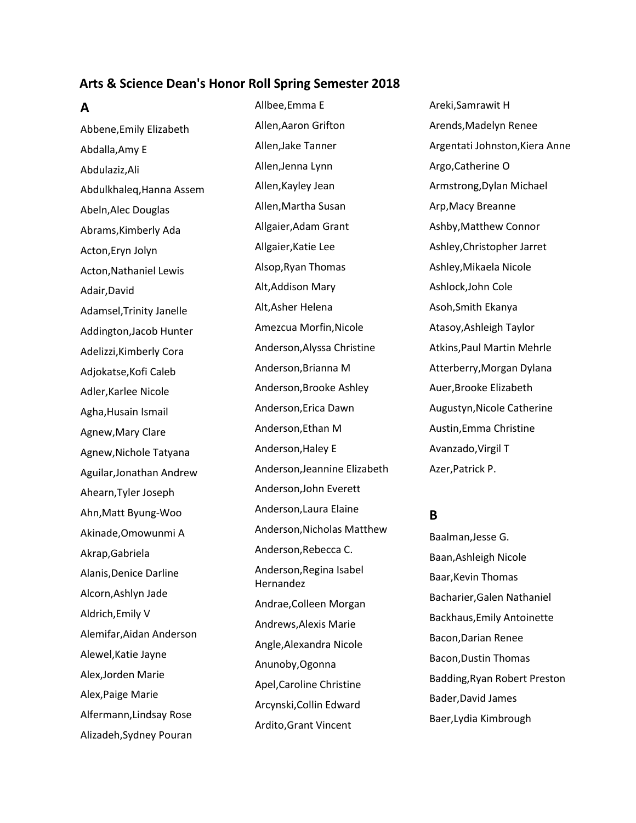#### **Arts & Science Dean's Honor Roll Spring Semester 2018**

**A**

Abbene,Emily Elizabeth Abdalla,Amy E Abdulaziz,Ali Abdulkhaleq,Hanna Assem Abeln,Alec Douglas Abrams,Kimberly Ada Acton,Eryn Jolyn Acton,Nathaniel Lewis Adair,David Adamsel,Trinity Janelle Addington,Jacob Hunter Adelizzi,Kimberly Cora Adjokatse,Kofi Caleb Adler,Karlee Nicole Agha,Husain Ismail Agnew,Mary Clare Agnew,Nichole Tatyana Aguilar,Jonathan Andrew Ahearn,Tyler Joseph Ahn,Matt Byung-Woo Akinade,Omowunmi A Akrap,Gabriela Alanis,Denice Darline Alcorn,Ashlyn Jade Aldrich,Emily V Alemifar,Aidan Anderson Alewel,Katie Jayne Alex,Jorden Marie Alex,Paige Marie Alfermann,Lindsay Rose Alizadeh,Sydney Pouran

Allbee,Emma E Allen,Aaron Grifton Allen,Jake Tanner Allen,Jenna Lynn Allen,Kayley Jean Allen,Martha Susan Allgaier,Adam Grant Allgaier,Katie Lee Alsop,Ryan Thomas Alt,Addison Mary Alt,Asher Helena Amezcua Morfin,Nicole Anderson,Alyssa Christine Anderson,Brianna M Anderson,Brooke Ashley Anderson,Erica Dawn Anderson,Ethan M Anderson,Haley E Anderson,Jeannine Elizabeth Anderson,John Everett Anderson,Laura Elaine Anderson,Nicholas Matthew Anderson,Rebecca C. Anderson,Regina Isabel Hernandez Andrae,Colleen Morgan Andrews,Alexis Marie Angle,Alexandra Nicole Anunoby,Ogonna Apel,Caroline Christine Arcynski,Collin Edward Ardito,Grant Vincent

Areki,Samrawit H Arends,Madelyn Renee Argentati Johnston,Kiera Anne Argo,Catherine O Armstrong,Dylan Michael Arp,Macy Breanne Ashby,Matthew Connor Ashley,Christopher Jarret Ashley,Mikaela Nicole Ashlock,John Cole Asoh,Smith Ekanya Atasoy,Ashleigh Taylor Atkins,Paul Martin Mehrle Atterberry,Morgan Dylana Auer,Brooke Elizabeth Augustyn,Nicole Catherine Austin,Emma Christine Avanzado,Virgil T Azer,Patrick P.

## **B**

Baalman,Jesse G. Baan,Ashleigh Nicole Baar,Kevin Thomas Bacharier,Galen Nathaniel Backhaus,Emily Antoinette Bacon,Darian Renee Bacon,Dustin Thomas Badding,Ryan Robert Preston Bader,David James Baer,Lydia Kimbrough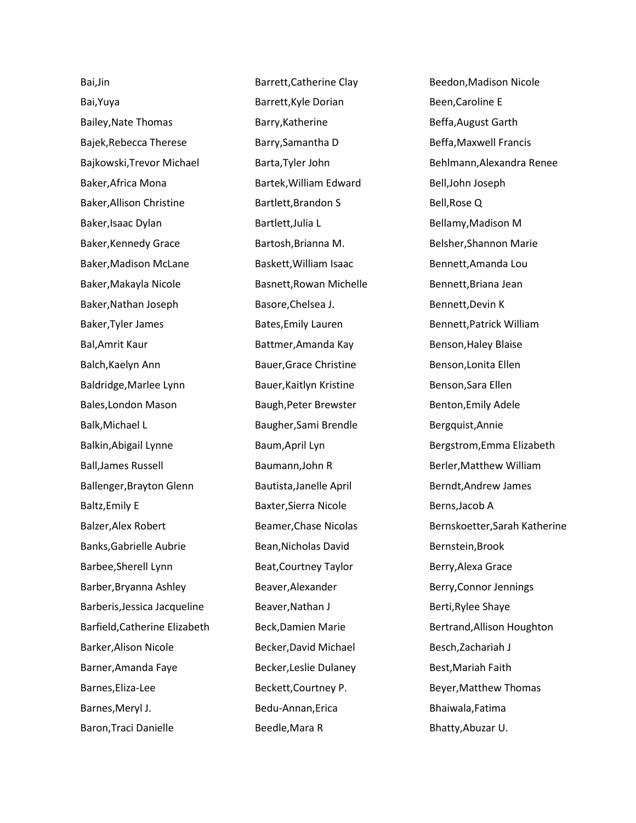Bai,Jin Bai,Yuya Bailey,Nate Thomas Bajek,Rebecca Therese Bajkowski,Trevor Michael Baker,Africa Mona Baker,Allison Christine Baker,Isaac Dylan Baker,Kennedy Grace Baker,Madison McLane Baker,Makayla Nicole Baker,Nathan Joseph Baker,Tyler James Bal,Amrit Kaur Balch,Kaelyn Ann Baldridge,Marlee Lynn Bales,London Mason Balk,Michael L Balkin,Abigail Lynne Ball,James Russell Ballenger,Brayton Glenn Baltz,Emily E Balzer,Alex Robert Banks,Gabrielle Aubrie Barbee,Sherell Lynn Barber,Bryanna Ashley Barberis,Jessica Jacqueline Barfield,Catherine Elizabeth Barker,Alison Nicole Barner,Amanda Faye Barnes,Eliza-Lee Barnes,Meryl J. Baron,Traci Danielle

Barrett,Catherine Clay Barrett,Kyle Dorian Barry,Katherine Barry,Samantha D Barta,Tyler John Bartek,William Edward Bartlett,Brandon S Bartlett,Julia L Bartosh,Brianna M. Baskett,William Isaac Basnett,Rowan Michelle Basore,Chelsea J. Bates,Emily Lauren Battmer,Amanda Kay Bauer,Grace Christine Bauer,Kaitlyn Kristine Baugh,Peter Brewster Baugher,Sami Brendle Baum,April Lyn Baumann,John R Bautista,Janelle April Baxter,Sierra Nicole Beamer,Chase Nicolas Bean,Nicholas David Beat,Courtney Taylor Beaver,Alexander Beaver,Nathan J Beck,Damien Marie Becker,David Michael Becker,Leslie Dulaney Beckett,Courtney P. Bedu-Annan,Erica Beedle,Mara R

Beedon,Madison Nicole Been,Caroline E Beffa,August Garth Beffa,Maxwell Francis Behlmann,Alexandra Renee Bell,John Joseph Bell,Rose Q Bellamy,Madison M Belsher,Shannon Marie Bennett,Amanda Lou Bennett,Briana Jean Bennett,Devin K Bennett,Patrick William Benson,Haley Blaise Benson,Lonita Ellen Benson,Sara Ellen Benton,Emily Adele Bergquist,Annie Bergstrom,Emma Elizabeth Berler,Matthew William Berndt,Andrew James Berns,Jacob A Bernskoetter,Sarah Katherine Bernstein,Brook Berry,Alexa Grace Berry,Connor Jennings Berti,Rylee Shaye Bertrand,Allison Houghton Besch,Zachariah J Best,Mariah Faith Beyer,Matthew Thomas Bhaiwala,Fatima Bhatty,Abuzar U.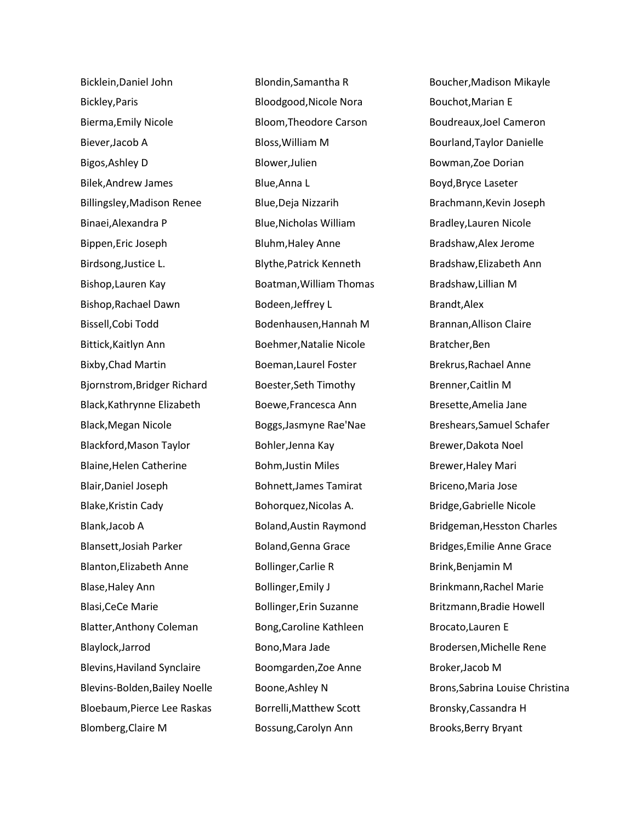Bicklein,Daniel John Bickley,Paris Bierma,Emily Nicole Biever,Jacob A Bigos,Ashley D Bilek,Andrew James Billingsley,Madison Renee Binaei,Alexandra P Bippen,Eric Joseph Birdsong,Justice L. Bishop,Lauren Kay Bishop,Rachael Dawn Bissell,Cobi Todd Bittick,Kaitlyn Ann Bixby,Chad Martin Bjornstrom,Bridger Richard Black,Kathrynne Elizabeth Black,Megan Nicole Blackford,Mason Taylor Blaine,Helen Catherine Blair,Daniel Joseph Blake,Kristin Cady Blank,Jacob A Blansett,Josiah Parker Blanton,Elizabeth Anne Blase,Haley Ann Blasi,CeCe Marie Blatter,Anthony Coleman Blaylock,Jarrod Blevins,Haviland Synclaire Blevins-Bolden,Bailey Noelle Bloebaum,Pierce Lee Raskas Blomberg,Claire M

Blondin,Samantha R Bloodgood,Nicole Nora Bloom,Theodore Carson Bloss,William M Blower,Julien Blue,Anna L Blue,Deja Nizzarih Blue,Nicholas William Bluhm,Haley Anne Blythe,Patrick Kenneth Boatman,William Thomas Bodeen,Jeffrey L Bodenhausen,Hannah M Boehmer,Natalie Nicole Boeman,Laurel Foster Boester,Seth Timothy Boewe,Francesca Ann Boggs,Jasmyne Rae'Nae Bohler,Jenna Kay Bohm,Justin Miles Bohnett,James Tamirat Bohorquez,Nicolas A. Boland,Austin Raymond Boland,Genna Grace Bollinger,Carlie R Bollinger,Emily J Bollinger,Erin Suzanne Bong,Caroline Kathleen Bono,Mara Jade Boomgarden,Zoe Anne Boone,Ashley N Borrelli,Matthew Scott Bossung,Carolyn Ann

Boucher,Madison Mikayle Bouchot,Marian E Boudreaux,Joel Cameron Bourland,Taylor Danielle Bowman,Zoe Dorian Boyd,Bryce Laseter Brachmann,Kevin Joseph Bradley,Lauren Nicole Bradshaw,Alex Jerome Bradshaw,Elizabeth Ann Bradshaw,Lillian M Brandt,Alex Brannan,Allison Claire Bratcher,Ben Brekrus,Rachael Anne Brenner,Caitlin M Bresette,Amelia Jane Breshears,Samuel Schafer Brewer,Dakota Noel Brewer,Haley Mari Briceno,Maria Jose Bridge,Gabrielle Nicole Bridgeman,Hesston Charles Bridges,Emilie Anne Grace Brink,Benjamin M Brinkmann,Rachel Marie Britzmann,Bradie Howell Brocato,Lauren E Brodersen,Michelle Rene Broker,Jacob M Brons,Sabrina Louise Christina Bronsky,Cassandra H Brooks,Berry Bryant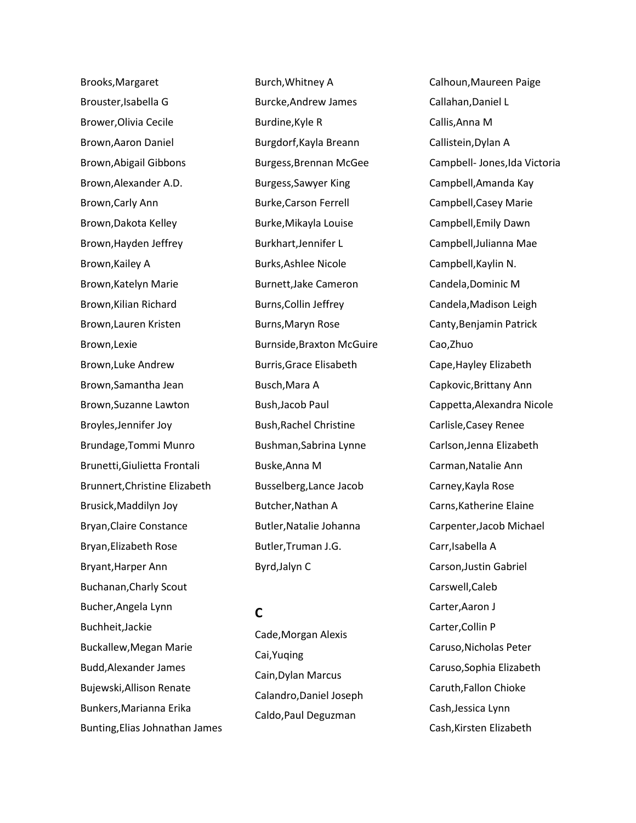Brooks,Margaret Brouster,Isabella G Brower,Olivia Cecile Brown,Aaron Daniel Brown,Abigail Gibbons Brown,Alexander A.D. Brown,Carly Ann Brown,Dakota Kelley Brown,Hayden Jeffrey Brown,Kailey A Brown,Katelyn Marie Brown,Kilian Richard Brown,Lauren Kristen Brown,Lexie Brown,Luke Andrew Brown,Samantha Jean Brown,Suzanne Lawton Broyles,Jennifer Joy Brundage,Tommi Munro Brunetti,Giulietta Frontali Brunnert,Christine Elizabeth Brusick,Maddilyn Joy Bryan,Claire Constance Bryan,Elizabeth Rose Bryant,Harper Ann Buchanan,Charly Scout Bucher,Angela Lynn Buchheit,Jackie Buckallew,Megan Marie Budd,Alexander James Bujewski,Allison Renate Bunkers,Marianna Erika Bunting,Elias Johnathan James Burch,Whitney A Burcke,Andrew James Burdine,Kyle R Burgdorf,Kayla Breann Burgess,Brennan McGee Burgess,Sawyer King Burke,Carson Ferrell Burke,Mikayla Louise Burkhart,Jennifer L Burks,Ashlee Nicole Burnett,Jake Cameron Burns,Collin Jeffrey Burns,Maryn Rose Burnside,Braxton McGuire Burris,Grace Elisabeth Busch,Mara A Bush,Jacob Paul Bush,Rachel Christine Bushman,Sabrina Lynne Buske,Anna M Busselberg,Lance Jacob Butcher,Nathan A Butler,Natalie Johanna Butler,Truman J.G. Byrd,Jalyn C

### **C**

Cade,Morgan Alexis Cai,Yuqing Cain,Dylan Marcus Calandro,Daniel Joseph Caldo,Paul Deguzman

Calhoun,Maureen Paige Callahan,Daniel L Callis,Anna M Callistein,Dylan A Campbell- Jones,Ida Victoria Campbell,Amanda Kay Campbell,Casey Marie Campbell,Emily Dawn Campbell,Julianna Mae Campbell,Kaylin N. Candela,Dominic M Candela,Madison Leigh Canty,Benjamin Patrick Cao,Zhuo Cape,Hayley Elizabeth Capkovic,Brittany Ann Cappetta,Alexandra Nicole Carlisle,Casey Renee Carlson,Jenna Elizabeth Carman,Natalie Ann Carney,Kayla Rose Carns,Katherine Elaine Carpenter,Jacob Michael Carr,Isabella A Carson,Justin Gabriel Carswell,Caleb Carter,Aaron J Carter,Collin P Caruso,Nicholas Peter Caruso,Sophia Elizabeth Caruth,Fallon Chioke Cash,Jessica Lynn Cash,Kirsten Elizabeth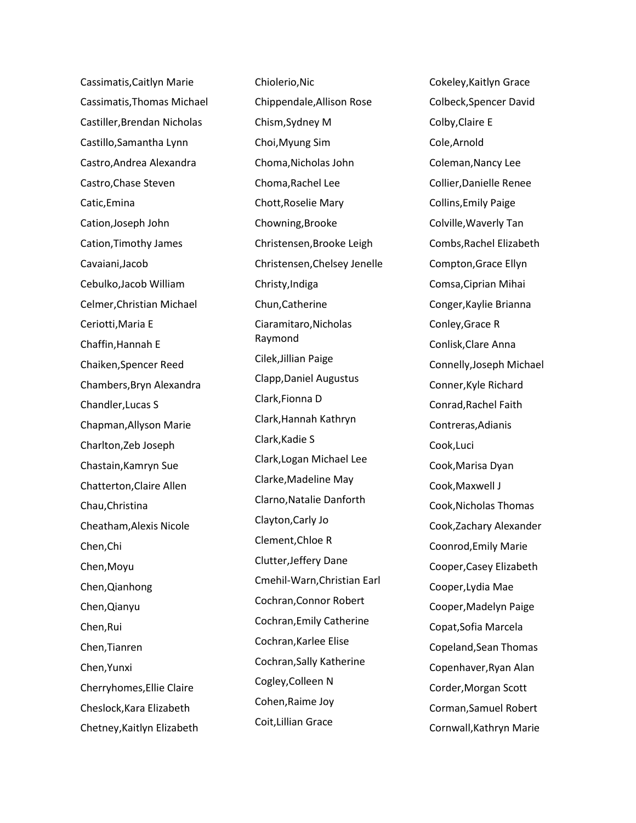Cassimatis,Caitlyn Marie Cassimatis,Thomas Michael Castiller,Brendan Nicholas Castillo,Samantha Lynn Castro,Andrea Alexandra Castro,Chase Steven Catic,Emina Cation,Joseph John Cation,Timothy James Cavaiani,Jacob Cebulko,Jacob William Celmer,Christian Michael Ceriotti,Maria E Chaffin,Hannah E Chaiken,Spencer Reed Chambers,Bryn Alexandra Chandler,Lucas S Chapman,Allyson Marie Charlton,Zeb Joseph Chastain,Kamryn Sue Chatterton,Claire Allen Chau,Christina Cheatham,Alexis Nicole Chen,Chi Chen,Moyu Chen,Qianhong Chen,Qianyu Chen,Rui Chen,Tianren Chen,Yunxi Cherryhomes,Ellie Claire Cheslock,Kara Elizabeth Chetney,Kaitlyn Elizabeth

Chiolerio,Nic Chippendale,Allison Rose Chism,Sydney M Choi,Myung Sim Choma,Nicholas John Choma,Rachel Lee Chott,Roselie Mary Chowning,Brooke Christensen,Brooke Leigh Christensen,Chelsey Jenelle Christy,Indiga Chun,Catherine Ciaramitaro,Nicholas Raymond Cilek,Jillian Paige Clapp,Daniel Augustus Clark,Fionna D Clark,Hannah Kathryn Clark,Kadie S Clark,Logan Michael Lee Clarke,Madeline May Clarno,Natalie Danforth Clayton,Carly Jo Clement,Chloe R Clutter,Jeffery Dane Cmehil-Warn,Christian Earl Cochran,Connor Robert Cochran,Emily Catherine Cochran,Karlee Elise Cochran,Sally Katherine Cogley,Colleen N Cohen,Raime Joy Coit,Lillian Grace

Cokeley,Kaitlyn Grace Colbeck,Spencer David Colby,Claire E Cole,Arnold Coleman,Nancy Lee Collier,Danielle Renee Collins,Emily Paige Colville,Waverly Tan Combs,Rachel Elizabeth Compton,Grace Ellyn Comsa,Ciprian Mihai Conger,Kaylie Brianna Conley,Grace R Conlisk,Clare Anna Connelly,Joseph Michael Conner,Kyle Richard Conrad,Rachel Faith Contreras,Adianis Cook,Luci Cook,Marisa Dyan Cook,Maxwell J Cook,Nicholas Thomas Cook,Zachary Alexander Coonrod,Emily Marie Cooper,Casey Elizabeth Cooper,Lydia Mae Cooper,Madelyn Paige Copat,Sofia Marcela Copeland,Sean Thomas Copenhaver,Ryan Alan Corder,Morgan Scott Corman,Samuel Robert Cornwall,Kathryn Marie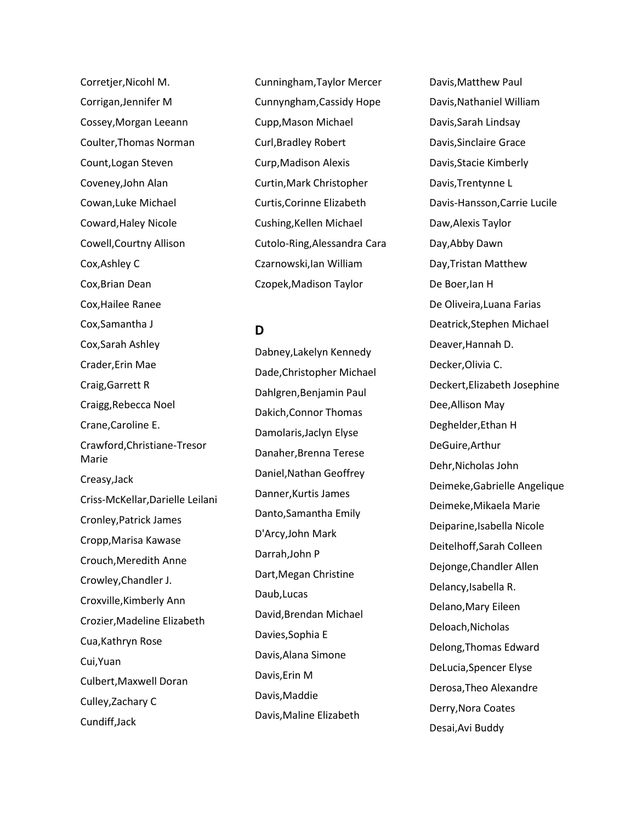Corretjer,Nicohl M. Corrigan,Jennifer M Cossey,Morgan Leeann Coulter,Thomas Norman Count,Logan Steven Coveney,John Alan Cowan,Luke Michael Coward,Haley Nicole Cowell,Courtny Allison Cox,Ashley C Cox,Brian Dean Cox,Hailee Ranee Cox,Samantha J Cox,Sarah Ashley Crader,Erin Mae Craig,Garrett R Craigg,Rebecca Noel Crane,Caroline E. Crawford,Christiane-Tresor Marie Creasy,Jack Criss-McKellar,Darielle Leilani Cronley,Patrick James Cropp,Marisa Kawase Crouch,Meredith Anne Crowley,Chandler J. Croxville,Kimberly Ann Crozier,Madeline Elizabeth Cua,Kathryn Rose Cui,Yuan Culbert,Maxwell Doran Culley,Zachary C Cundiff,Jack

Cunningham,Taylor Mercer Cunnyngham,Cassidy Hope Cupp,Mason Michael Curl,Bradley Robert Curp,Madison Alexis Curtin,Mark Christopher Curtis,Corinne Elizabeth Cushing,Kellen Michael Cutolo-Ring,Alessandra Cara Czarnowski,Ian William Czopek,Madison Taylor

**D**

Dabney,Lakelyn Kennedy Dade,Christopher Michael Dahlgren,Benjamin Paul Dakich,Connor Thomas Damolaris,Jaclyn Elyse Danaher,Brenna Terese Daniel,Nathan Geoffrey Danner,Kurtis James Danto,Samantha Emily D'Arcy,John Mark Darrah,John P Dart,Megan Christine Daub,Lucas David,Brendan Michael Davies,Sophia E Davis,Alana Simone Davis,Erin M Davis,Maddie Davis,Maline Elizabeth

Davis,Matthew Paul Davis,Nathaniel William Davis,Sarah Lindsay Davis,Sinclaire Grace Davis,Stacie Kimberly Davis,Trentynne L Davis-Hansson,Carrie Lucile Daw,Alexis Taylor Day,Abby Dawn Day,Tristan Matthew De Boer,Ian H De Oliveira,Luana Farias Deatrick,Stephen Michael Deaver,Hannah D. Decker,Olivia C. Deckert,Elizabeth Josephine Dee,Allison May Deghelder,Ethan H DeGuire,Arthur Dehr,Nicholas John Deimeke,Gabrielle Angelique Deimeke,Mikaela Marie Deiparine,Isabella Nicole Deitelhoff,Sarah Colleen Dejonge,Chandler Allen Delancy,Isabella R. Delano,Mary Eileen Deloach,Nicholas Delong,Thomas Edward DeLucia,Spencer Elyse Derosa,Theo Alexandre Derry,Nora Coates Desai,Avi Buddy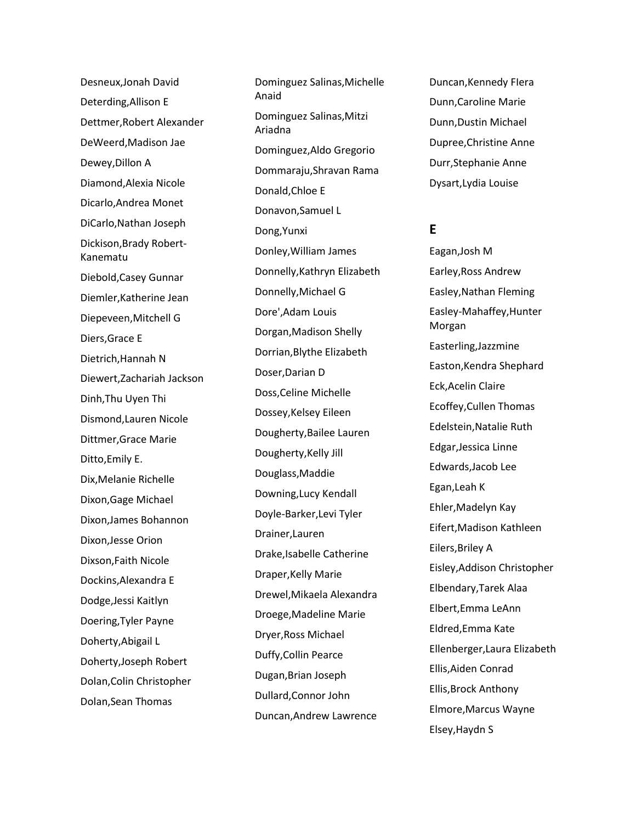Desneux,Jonah David Deterding,Allison E Dettmer,Robert Alexander DeWeerd,Madison Jae Dewey,Dillon A Diamond,Alexia Nicole Dicarlo,Andrea Monet DiCarlo,Nathan Joseph Dickison,Brady Robert - Kanematu Diebold,Casey Gunnar Diemler,Katherine Jean Diepeveen,Mitchell G Diers,Grace E Dietrich,Hannah N Diewert,Zachariah Jackson Dinh,Thu Uyen Thi Dismond,Lauren Nicole Dittmer,Grace Marie Ditto,Emily E. Dix,Melanie Richelle Dixon,Gage Michael Dixon,James Bohannon Dixon,Jesse Orion Dixson,Faith Nicole Dockins,Alexandra E Dodge,Jessi Kaitlyn Doering,Tyler Payne Doherty,Abigail L Doherty,Joseph Robert Dolan,Colin Christopher Dolan,Sean Thomas

Dominguez Salinas,Michelle Anaid Dominguez Salinas,Mitzi Ariadna Dominguez,Aldo Gregorio Dommaraju,Shravan Rama Donald,Chloe E Donavon,Samuel L Dong,Yunxi Donley,William James Donnelly,Kathryn Elizabeth Donnelly,Michael G Dore',Adam Louis Dorgan,Madison Shelly Dorrian,Blythe Elizabeth Doser,Darian D Doss,Celine Michelle Dossey,Kelsey Eileen Dougherty,Bailee Lauren Dougherty,Kelly Jill Douglass,Maddie Downing,Lucy Kendall Doyle -Barker,Levi Tyler Drainer,Lauren Drake,Isabelle Catherine Draper,Kelly Marie Drewel,Mikaela Alexandra Droege,Madeline Marie Dryer,Ross Michael Duffy,Collin Pearce Dugan,Brian Joseph Dullard,Connor John Duncan,Andrew Lawrence

Duncan,Kennedy FIera Dunn,Caroline Marie Dunn,Dustin Michael Dupree,Christine Anne Durr,Stephanie Anne Dysart,Lydia Louise

# **E**

Eagan,Josh M Earley,Ross Andrew Easley,Nathan Fleming Easley -Mahaffey,Hunter Morgan Easterling,Jazzmine Easton,Kendra Shephard Eck,Acelin Claire Ecoffey,Cullen Thomas Edelstein,Natalie Ruth Edgar,Jessica Linne Edwards,Jacob Lee Egan,Leah K Ehler,Madelyn Kay Eifert,Madison Kathleen Eilers,Briley A Eisley,Addison Christopher Elbendary,Tarek Alaa Elbert,Emma LeAnn Eldred,Emma Kate Ellenberger,Laura Elizabeth Ellis,Aiden Conrad Ellis,Brock Anthony Elmore,Marcus Wayne Elsey,Haydn S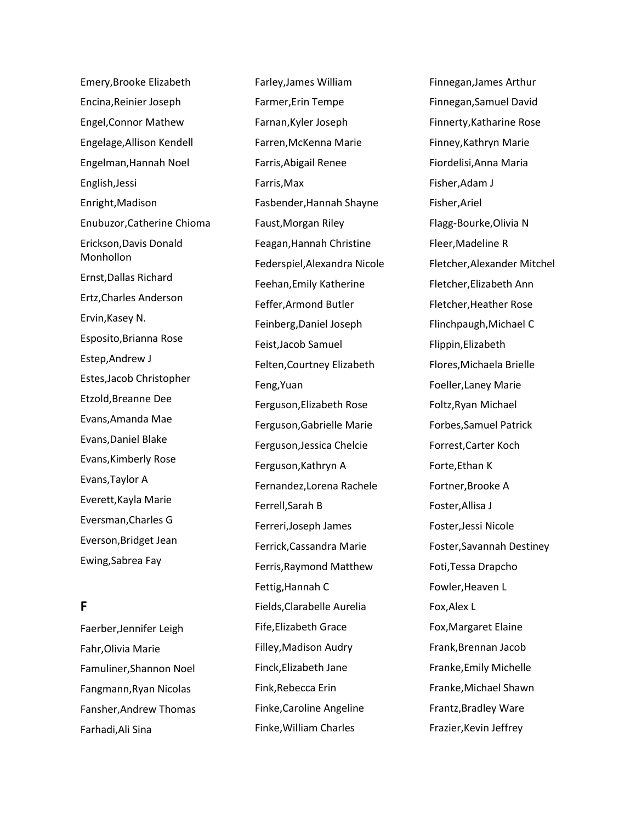Emery,Brooke Elizabeth Encina,Reinier Joseph Engel,Connor Mathew Engelage,Allison Kendell Engelman,Hannah Noel English,Jessi Enright,Madison Enubuzor,Catherine Chioma Erickson,Davis Donald Monhollon Ernst,Dallas Richard Ertz,Charles Anderson Ervin,Kasey N. Esposito,Brianna Rose Estep,Andrew J Estes,Jacob Christopher Etzold,Breanne Dee Evans,Amanda Mae Evans,Daniel Blake Evans,Kimberly Rose Evans,Taylor A Everett,Kayla Marie Eversman,Charles G Everson,Bridget Jean Ewing,Sabrea Fay

# **F**

Faerber,Jennifer Leigh Fahr,Olivia Marie Famuliner,Shannon Noel Fangmann,Ryan Nicolas Fansher,Andrew Thomas Farhadi,Ali Sina

Farley,James William Farmer,Erin Tempe Farnan,Kyler Joseph Farren,McKenna Marie Farris,Abigail Renee Farris,Max Fasbender,Hannah Shayne Faust,Morgan Riley Feagan,Hannah Christine Federspiel,Alexandra Nicole Feehan,Emily Katherine Feffer,Armond Butler Feinberg,Daniel Joseph Feist,Jacob Samuel Felten,Courtney Elizabeth Feng,Yuan Ferguson,Elizabeth Rose Ferguson,Gabrielle Marie Ferguson,Jessica Chelcie Ferguson,Kathryn A Fernandez,Lorena Rachele Ferrell,Sarah B Ferreri,Joseph James Ferrick,Cassandra Marie Ferris,Raymond Matthew Fettig,Hannah C Fields,Clarabelle Aurelia Fife,Elizabeth Grace Filley,Madison Audry Finck,Elizabeth Jane Fink,Rebecca Erin Finke,Caroline Angeline Finke,William Charles

Finnegan,James Arthur Finnegan,Samuel David Finnerty,Katharine Rose Finney,Kathryn Marie Fiordelisi,Anna Maria Fisher,Adam J Fisher,Ariel Flagg-Bourke,Olivia N Fleer,Madeline R Fletcher,Alexander Mitchel Fletcher,Elizabeth Ann Fletcher,Heather Rose Flinchpaugh,Michael C Flippin,Elizabeth Flores,Michaela Brielle Foeller,Laney Marie Foltz,Ryan Michael Forbes,Samuel Patrick Forrest,Carter Koch Forte,Ethan K Fortner,Brooke A Foster,Allisa J Foster,Jessi Nicole Foster,Savannah Destiney Foti,Tessa Drapcho Fowler,Heaven L Fox,Alex L Fox,Margaret Elaine Frank,Brennan Jacob Franke,Emily Michelle Franke,Michael Shawn Frantz,Bradley Ware Frazier,Kevin Jeffrey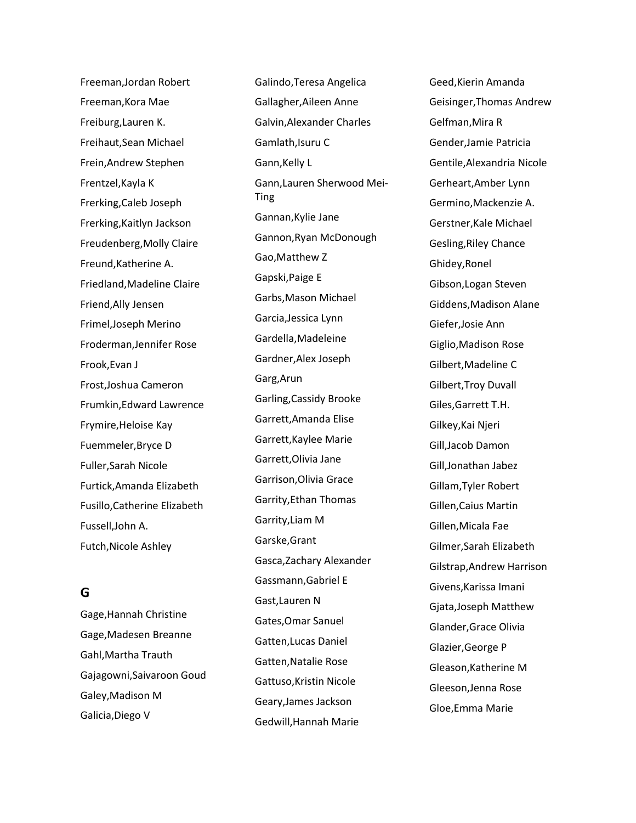Freeman,Jordan Robert Freeman,Kora Mae Freiburg,Lauren K. Freihaut,Sean Michael Frein,Andrew Stephen Frentzel,Kayla K Frerking,Caleb Joseph Frerking,Kaitlyn Jackson Freudenberg,Molly Claire Freund,Katherine A. Friedland,Madeline Claire Friend,Ally Jensen Frimel,Joseph Merino Froderman,Jennifer Rose Frook,Evan J Frost,Joshua Cameron Frumkin,Edward Lawrence Frymire,Heloise Kay Fuemmeler,Bryce D Fuller,Sarah Nicole Furtick,Amanda Elizabeth Fusillo,Catherine Elizabeth Fussell,John A. Futch,Nicole Ashley

# **G**

Gage,Hannah Christine Gage,Madesen Breanne Gahl,Martha Trauth Gajagowni,Saivaroon Goud Galey,Madison M Galicia,Diego V

Galindo,Teresa Angelica Gallagher,Aileen Anne Galvin,Alexander Charles Gamlath,Isuru C Gann,Kelly L Gann,Lauren Sherwood Mei-Ting Gannan,Kylie Jane Gannon,Ryan McDonough Gao,Matthew Z Gapski,Paige E Garbs,Mason Michael Garcia,Jessica Lynn Gardella,Madeleine Gardner,Alex Joseph Garg,Arun Garling,Cassidy Brooke Garrett,Amanda Elise Garrett,Kaylee Marie Garrett,Olivia Jane Garrison,Olivia Grace Garrity,Ethan Thomas Garrity,Liam M Garske,Grant Gasca,Zachary Alexander Gassmann,Gabriel E Gast,Lauren N Gates,Omar Sanuel Gatten,Lucas Daniel Gatten,Natalie Rose Gattuso,Kristin Nicole Geary,James Jackson Gedwill,Hannah Marie

Geed,Kierin Amanda Geisinger,Thomas Andrew Gelfman,Mira R Gender,Jamie Patricia Gentile,Alexandria Nicole Gerheart,Amber Lynn Germino,Mackenzie A. Gerstner,Kale Michael Gesling,Riley Chance Ghidey,Ronel Gibson,Logan Steven Giddens,Madison Alane Giefer,Josie Ann Giglio,Madison Rose Gilbert,Madeline C Gilbert,Troy Duvall Giles,Garrett T.H. Gilkey,Kai Njeri Gill,Jacob Damon Gill,Jonathan Jabez Gillam,Tyler Robert Gillen,Caius Martin Gillen,Micala Fae Gilmer,Sarah Elizabeth Gilstrap,Andrew Harrison Givens,Karissa Imani Gjata,Joseph Matthew Glander,Grace Olivia Glazier,George P Gleason,Katherine M Gleeson,Jenna Rose Gloe,Emma Marie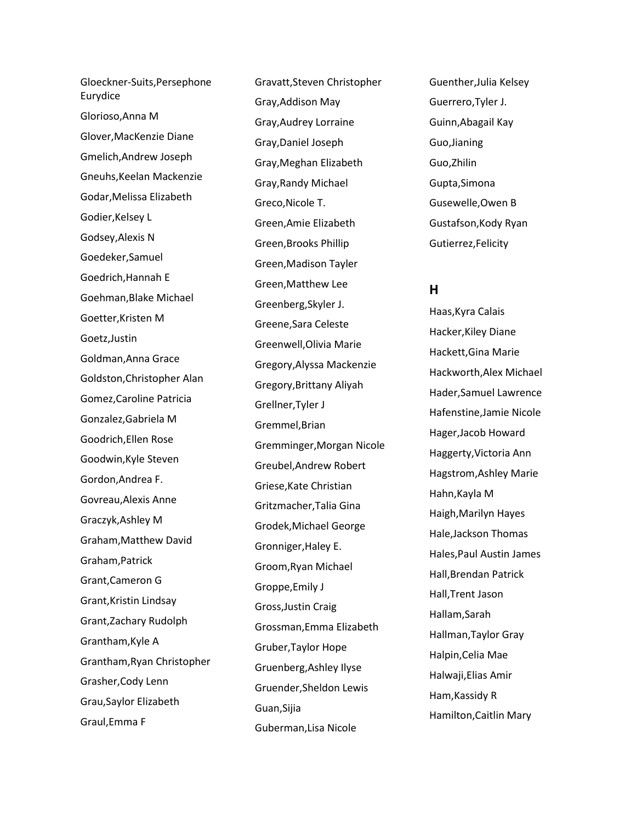Gloeckner-Suits,Persephone Eurydice Glorioso,Anna M Glover,MacKenzie Diane Gmelich,Andrew Joseph Gneuhs,Keelan Mackenzie Godar,Melissa Elizabeth Godier,Kelsey L Godsey,Alexis N Goedeker,Samuel Goedrich,Hannah E Goehman,Blake Michael Goetter,Kristen M Goetz,Justin Goldman,Anna Grace Goldston,Christopher Alan Gomez,Caroline Patricia Gonzalez,Gabriela M Goodrich,Ellen Rose Goodwin,Kyle Steven Gordon,Andrea F. Govreau,Alexis Anne Graczyk,Ashley M Graham,Matthew David Graham,Patrick Grant,Cameron G Grant,Kristin Lindsay Grant,Zachary Rudolph Grantham,Kyle A Grantham,Ryan Christopher Grasher,Cody Lenn Grau,Saylor Elizabeth Graul,Emma F

Gravatt,Steven Christopher Gray,Addison May Gray,Audrey Lorraine Gray,Daniel Joseph Gray,Meghan Elizabeth Gray,Randy Michael Greco,Nicole T. Green,Amie Elizabeth Green,Brooks Phillip Green,Madison Tayler Green,Matthew Lee Greenberg,Skyler J. Greene,Sara Celeste Greenwell,Olivia Marie Gregory,Alyssa Mackenzie Gregory,Brittany Aliyah Grellner,Tyler J Gremmel,Brian Gremminger,Morgan Nicole Greubel,Andrew Robert Griese,Kate Christian Gritzmacher,Talia Gina Grodek,Michael George Gronniger,Haley E. Groom,Ryan Michael Groppe,Emily J Gross,Justin Craig Grossman,Emma Elizabeth Gruber,Taylor Hope Gruenberg,Ashley Ilyse Gruender,Sheldon Lewis Guan,Sijia Guberman,Lisa Nicole

Guenther,Julia Kelsey Guerrero,Tyler J. Guinn,Abagail Kay Guo,Jianing Guo,Zhilin Gupta,Simona Gusewelle,Owen B Gustafson,Kody Ryan Gutierrez,Felicity

### **H**

Haas,Kyra Calais Hacker,Kiley Diane Hackett,Gina Marie Hackworth,Alex Michael Hader,Samuel Lawrence Hafenstine,Jamie Nicole Hager,Jacob Howard Haggerty,Victoria Ann Hagstrom,Ashley Marie Hahn,Kayla M Haigh,Marilyn Hayes Hale,Jackson Thomas Hales,Paul Austin James Hall,Brendan Patrick Hall,Trent Jason Hallam,Sarah Hallman,Taylor Gray Halpin,Celia Mae Halwaji,Elias Amir Ham,Kassidy R Hamilton,Caitlin Mary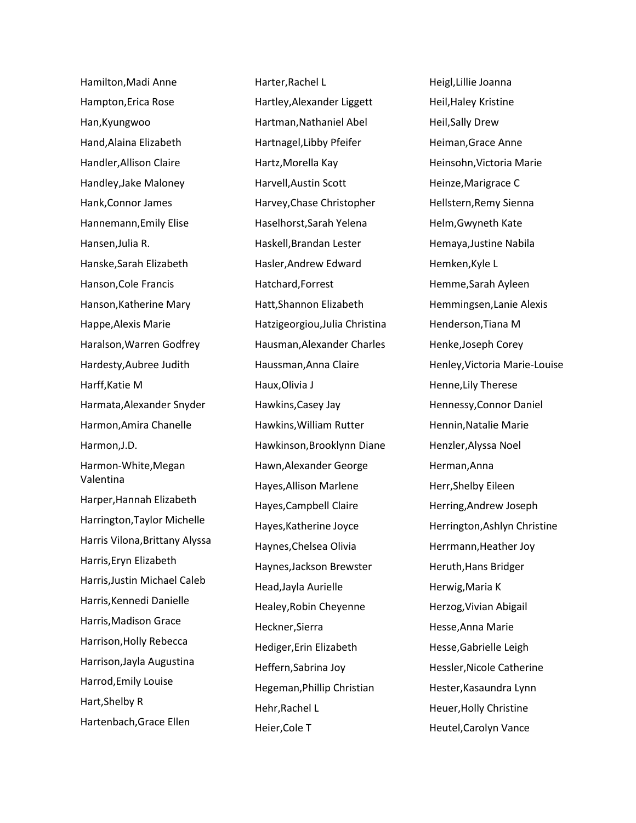Hamilton,Madi Anne Hampton,Erica Rose Han,Kyungwoo Hand,Alaina Elizabeth Handler,Allison Claire Handley,Jake Maloney Hank,Connor James Hannemann,Emily Elise Hansen,Julia R. Hanske,Sarah Elizabeth Hanson,Cole Francis Hanson,Katherine Mary Happe,Alexis Marie Haralson,Warren Godfrey Hardesty,Aubree Judith Harff,Katie M Harmata,Alexander Snyder Harmon,Amira Chanelle Harmon,J.D. Harmon-White,Megan Valentina Harper,Hannah Elizabeth Harrington,Taylor Michelle Harris Vilona,Brittany Alyssa Harris,Eryn Elizabeth Harris,Justin Michael Caleb Harris,Kennedi Danielle Harris,Madison Grace Harrison,Holly Rebecca Harrison,Jayla Augustina Harrod,Emily Louise Hart,Shelby R Hartenbach,Grace Ellen

Harter,Rachel L Hartley,Alexander Liggett Hartman,Nathaniel Abel Hartnagel,Libby Pfeifer Hartz,Morella Kay Harvell,Austin Scott Harvey,Chase Christopher Haselhorst,Sarah Yelena Haskell,Brandan Lester Hasler,Andrew Edward Hatchard,Forrest Hatt,Shannon Elizabeth Hatzigeorgiou,Julia Christina Hausman,Alexander Charles Haussman,Anna Claire Haux,Olivia J Hawkins,Casey Jay Hawkins,William Rutter Hawkinson,Brooklynn Diane Hawn,Alexander George Hayes,Allison Marlene Hayes,Campbell Claire Hayes,Katherine Joyce Haynes,Chelsea Olivia Haynes,Jackson Brewster Head,Jayla Aurielle Healey,Robin Cheyenne Heckner,Sierra Hediger,Erin Elizabeth Heffern,Sabrina Joy Hegeman,Phillip Christian Hehr,Rachel L Heier,Cole T

Heigl,Lillie Joanna Heil,Haley Kristine Heil,Sally Drew Heiman,Grace Anne Heinsohn,Victoria Marie Heinze,Marigrace C Hellstern,Remy Sienna Helm,Gwyneth Kate Hemaya,Justine Nabila Hemken,Kyle L Hemme,Sarah Ayleen Hemmingsen,Lanie Alexis Henderson,Tiana M Henke,Joseph Corey Henley,Victoria Marie-Louise Henne,Lily Therese Hennessy,Connor Daniel Hennin,Natalie Marie Henzler,Alyssa Noel Herman,Anna Herr,Shelby Eileen Herring,Andrew Joseph Herrington,Ashlyn Christine Herrmann,Heather Joy Heruth,Hans Bridger Herwig,Maria K Herzog,Vivian Abigail Hesse,Anna Marie Hesse,Gabrielle Leigh Hessler,Nicole Catherine Hester,Kasaundra Lynn Heuer,Holly Christine Heutel,Carolyn Vance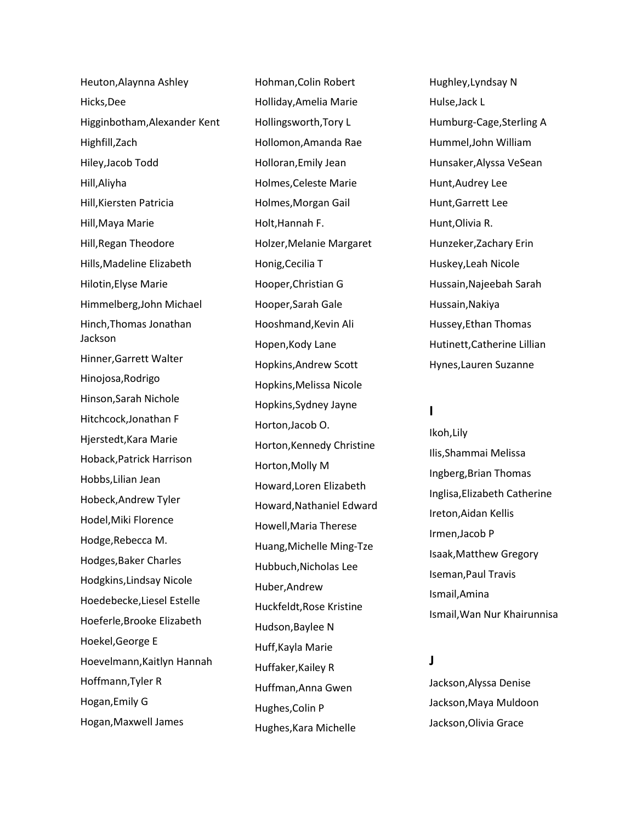Heuton,Alaynna Ashley Hicks,Dee Higginbotham,Alexander Kent Highfill,Zach Hiley,Jacob Todd Hill,Aliyha Hill,Kiersten Patricia Hill,Maya Marie Hill,Regan Theodore Hills,Madeline Elizabeth Hilotin,Elyse Marie Himmelberg,John Michael Hinch,Thomas Jonathan Jackson Hinner,Garrett Walter Hinojosa,Rodrigo Hinson,Sarah Nichole Hitchcock,Jonathan F Hjerstedt,Kara Marie Hoback,Patrick Harrison Hobbs,Lilian Jean Hobeck,Andrew Tyler Hodel,Miki Florence Hodge,Rebecca M. Hodges,Baker Charles Hodgkins,Lindsay Nicole Hoedebecke,Liesel Estelle Hoeferle,Brooke Elizabeth Hoekel,George E Hoevelmann,Kaitlyn Hannah Hoffmann,Tyler R Hogan,Emily G Hogan,Maxwell James

Hohman,Colin Robert Holliday,Amelia Marie Hollingsworth,Tory L Hollomon,Amanda Rae Holloran,Emily Jean Holmes,Celeste Marie Holmes,Morgan Gail Holt,Hannah F. Holzer,Melanie Margaret Honig,Cecilia T Hooper,Christian G Hooper,Sarah Gale Hooshmand,Kevin Ali Hopen,Kody Lane Hopkins,Andrew Scott Hopkins,Melissa Nicole Hopkins,Sydney Jayne Horton,Jacob O. Horton,Kennedy Christine Horton,Molly M Howard,Loren Elizabeth Howard,Nathaniel Edward Howell,Maria Therese Huang,Michelle Ming-Tze Hubbuch,Nicholas Lee Huber,Andrew Huckfeldt,Rose Kristine Hudson,Baylee N Huff,Kayla Marie Huffaker,Kailey R Huffman,Anna Gwen Hughes,Colin P Hughes,Kara Michelle

Hughley,Lyndsay N Hulse,Jack L Humburg-Cage,Sterling A Hummel,John William Hunsaker,Alyssa VeSean Hunt,Audrey Lee Hunt,Garrett Lee Hunt,Olivia R. Hunzeker,Zachary Erin Huskey,Leah Nicole Hussain,Najeebah Sarah Hussain,Nakiya Hussey,Ethan Thomas Hutinett,Catherine Lillian Hynes,Lauren Suzanne

## **I**

Ikoh,Lily Ilis,Shammai Melissa Ingberg,Brian Thomas Inglisa,Elizabeth Catherine Ireton,Aidan Kellis Irmen,Jacob P Isaak,Matthew Gregory Iseman,Paul Travis Ismail,Amina Ismail,Wan Nur Khairunnisa

## **J**

Jackson,Alyssa Denise Jackson,Maya Muldoon Jackson,Olivia Grace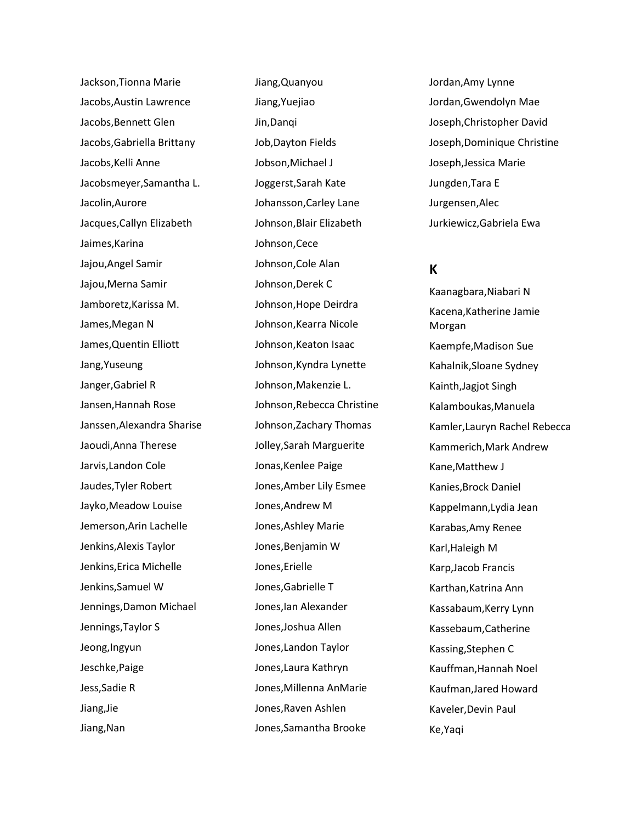Jackson,Tionna Marie Jacobs,Austin Lawrence Jacobs,Bennett Glen Jacobs,Gabriella Brittany Jacobs, Kelli Anne Jacobsmeyer,Samantha L. Jacolin,Aurore Jacques,Callyn Elizabeth Jaimes,Karina Jajou,Angel Samir Jajou,Merna Samir Jamboretz,Karissa M. James,Megan N James,Quentin Elliott Jang,Yuseung Janger,Gabriel R Jansen,Hannah Rose Janssen,Alexandra Sharise Jaoudi,Anna Therese Jarvis,Landon Cole Jaudes,Tyler Robert Jayko,Meadow Louise Jemerson,Arin Lachelle Jenkins,Alexis Taylor Jenkins,Erica Michelle Jenkins,Samuel W Jennings,Damon Michael Jennings,Taylor S Jeong,Ingyun Jeschke,Paige Jess,Sadie R Jiang,Jie Jiang,Nan

Jiang,Quanyou Jiang,Yuejiao Jin,Danqi Job,Dayton Fields Jobson,Michael J Joggerst,Sarah Kate Johansson,Carley Lane Johnson,Blair Elizabeth Johnson,Cece Johnson,Cole Alan Johnson,Derek C Johnson,Hope Deirdra Johnson,Kearra Nicole Johnson,Keaton Isaac Johnson,Kyndra Lynette Johnson,Makenzie L. Johnson,Rebecca Christine Johnson,Zachary Thomas Jolley,Sarah Marguerite Jonas,Kenlee Paige Jones,Amber Lily Esmee Jones,Andrew M Jones,Ashley Marie Jones,Benjamin W Jones,Erielle Jones,Gabrielle T Jones,Ian Alexander Jones,Joshua Allen Jones,Landon Taylor Jones,Laura Kathryn Jones,Millenna AnMarie Jones,Raven Ashlen Jones,Samantha Brooke

Jordan,Amy Lynne Jordan,Gwendolyn Mae Joseph,Christopher David Joseph,Dominique Christine Joseph,Jessica Marie Jungden,Tara E Jurgensen,Alec Jurkiewicz,Gabriela Ewa

## **K**

Kaanagbara,Niabari N Kacena,Katherine Jamie Morgan Kaempfe,Madison Sue Kahalnik,Sloane Sydney Kainth,Jagjot Singh Kalamboukas,Manuela Kamler,Lauryn Rachel Rebecca Kammerich,Mark Andrew Kane,Matthew J Kanies,Brock Daniel Kappelmann,Lydia Jean Karabas,Amy Renee Karl,Haleigh M Karp,Jacob Francis Karthan,Katrina Ann Kassabaum,Kerry Lynn Kassebaum,Catherine Kassing,Stephen C Kauffman,Hannah Noel Kaufman,Jared Howard Kaveler,Devin Paul Ke,Yaqi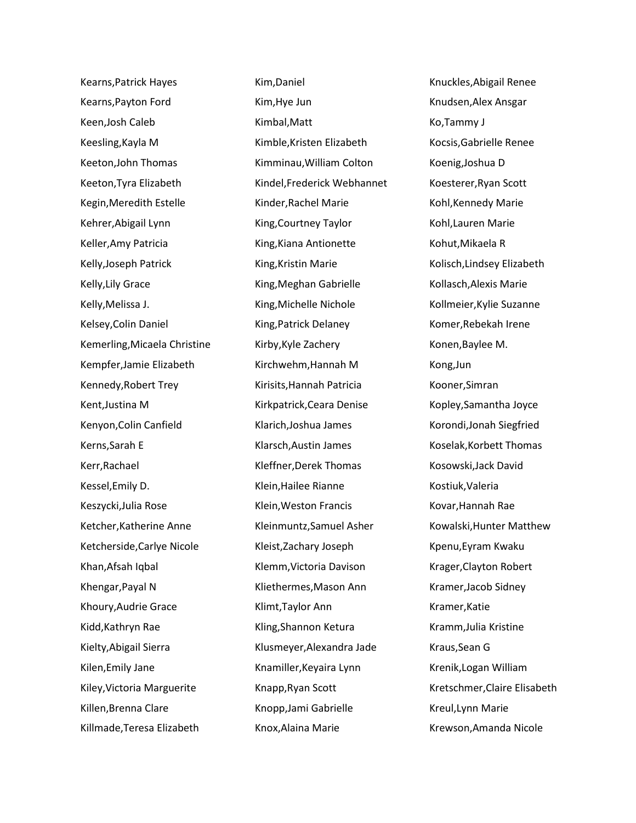Kearns,Patrick Hayes Kearns,Payton Ford Keen,Josh Caleb Keesling,Kayla M Keeton,John Thomas Keeton,Tyra Elizabeth Kegin,Meredith Estelle Kehrer,Abigail Lynn Keller,Amy Patricia Kelly,Joseph Patrick Kelly,Lily Grace Kelly,Melissa J. Kelsey,Colin Daniel Kemerling,Micaela Christine Kempfer,Jamie Elizabeth Kennedy,Robert Trey Kent,Justina M Kenyon,Colin Canfield Kerns,Sarah E Kerr,Rachael Kessel,Emily D. Keszycki,Julia Rose Ketcher,Katherine Anne Ketcherside,Carlye Nicole Khan,Afsah Iqbal Khengar,Payal N Khoury,Audrie Grace Kidd,Kathryn Rae Kielty,Abigail Sierra Kilen,Emily Jane Kiley,Victoria Marguerite Killen,Brenna Clare Killmade,Teresa Elizabeth

Kim,Daniel Kim,Hye Jun Kimbal,Matt Kimble,Kristen Elizabeth Kimminau,William Colton Kindel,Frederick Webhannet Kinder,Rachel Marie King,Courtney Taylor King,Kiana Antionette King,Kristin Marie King,Meghan Gabrielle King,Michelle Nichole King,Patrick Delaney Kirby,Kyle Zachery Kirchwehm,Hannah M Kirisits,Hannah Patricia Kirkpatrick,Ceara Denise Klarich,Joshua James Klarsch,Austin James Kleffner,Derek Thomas Klein,Hailee Rianne Klein,Weston Francis Kleinmuntz,Samuel Asher Kleist,Zachary Joseph Klemm,Victoria Davison Kliethermes,Mason Ann Klimt,Taylor Ann Kling,Shannon Ketura Klusmeyer,Alexandra Jade Knamiller,Keyaira Lynn Knapp,Ryan Scott Knopp,Jami Gabrielle Knox,Alaina Marie

Knuckles,Abigail Renee Knudsen,Alex Ansgar Ko,Tammy J Kocsis,Gabrielle Renee Koenig,Joshua D Koesterer,Ryan Scott Kohl,Kennedy Marie Kohl,Lauren Marie Kohut,Mikaela R Kolisch,Lindsey Elizabeth Kollasch,Alexis Marie Kollmeier,Kylie Suzanne Komer,Rebekah Irene Konen,Baylee M. Kong,Jun Kooner,Simran Kopley,Samantha Joyce Korondi,Jonah Siegfried Koselak,Korbett Thomas Kosowski,Jack David Kostiuk,Valeria Kovar,Hannah Rae Kowalski,Hunter Matthew Kpenu,Eyram Kwaku Krager,Clayton Robert Kramer,Jacob Sidney Kramer,Katie Kramm,Julia Kristine Kraus,Sean G Krenik,Logan William Kretschmer,Claire Elisabeth Kreul,Lynn Marie Krewson,Amanda Nicole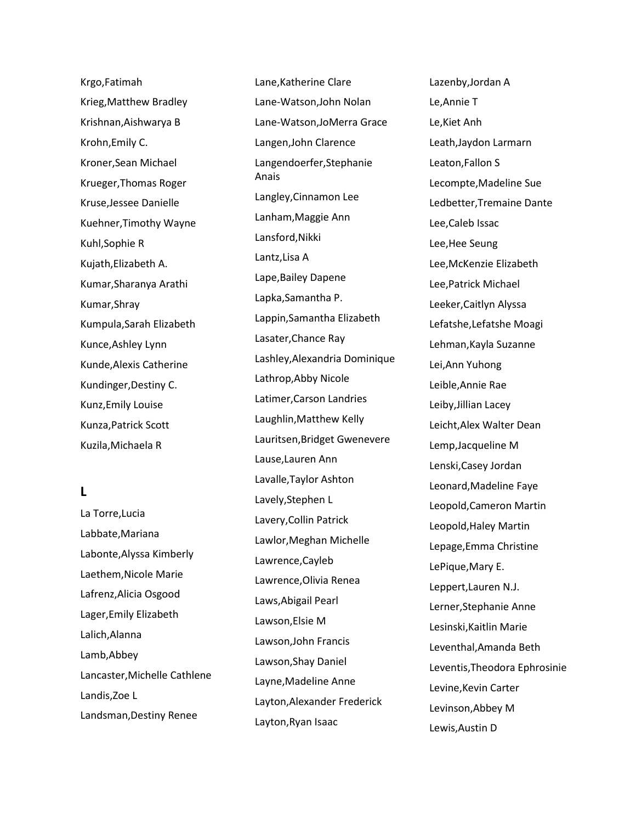Krgo,Fatimah Krieg,Matthew Bradley Krishnan,Aishwarya B Krohn,Emily C. Kroner,Sean Michael Krueger,Thomas Roger Kruse,Jessee Danielle Kuehner,Timothy Wayne Kuhl,Sophie R Kujath,Elizabeth A. Kumar,Sharanya Arathi Kumar,Shray Kumpula,Sarah Elizabeth Kunce,Ashley Lynn Kunde,Alexis Catherine Kundinger,Destiny C. Kunz,Emily Louise Kunza,Patrick Scott Kuzila,Michaela R

# **L**

La Torre,Lucia Labbate,Mariana Labonte,Alyssa Kimberly Laethem,Nicole Marie Lafrenz,Alicia Osgood Lager,Emily Elizabeth Lalich,Alanna Lamb,Abbey Lancaster,Michelle Cathlene Landis,Zoe L Landsman,Destiny Renee

Lane,Katherine Clare Lane-Watson,John Nolan Lane-Watson,JoMerra Grace Langen,John Clarence Langendoerfer,Stephanie Anais Langley,Cinnamon Lee Lanham,Maggie Ann Lansford,Nikki Lantz,Lisa A Lape,Bailey Dapene Lapka,Samantha P. Lappin,Samantha Elizabeth Lasater,Chance Ray Lashley,Alexandria Dominique Lathrop,Abby Nicole Latimer,Carson Landries Laughlin,Matthew Kelly Lauritsen,Bridget Gwenevere Lause,Lauren Ann Lavalle,Taylor Ashton Lavely,Stephen L Lavery,Collin Patrick Lawlor,Meghan Michelle Lawrence,Cayleb Lawrence,Olivia Renea Laws,Abigail Pearl Lawson,Elsie M Lawson,John Francis Lawson,Shay Daniel Layne,Madeline Anne Layton,Alexander Frederick Layton,Ryan Isaac

Lazenby,Jordan A Le,Annie T Le,Kiet Anh Leath,Jaydon Larmarn Leaton,Fallon S Lecompte,Madeline Sue Ledbetter,Tremaine Dante Lee,Caleb Issac Lee,Hee Seung Lee,McKenzie Elizabeth Lee,Patrick Michael Leeker,Caitlyn Alyssa Lefatshe,Lefatshe Moagi Lehman,Kayla Suzanne Lei,Ann Yuhong Leible,Annie Rae Leiby,Jillian Lacey Leicht,Alex Walter Dean Lemp,Jacqueline M Lenski,Casey Jordan Leonard,Madeline Faye Leopold,Cameron Martin Leopold,Haley Martin Lepage,Emma Christine LePique,Mary E. Leppert,Lauren N.J. Lerner,Stephanie Anne Lesinski,Kaitlin Marie Leventhal,Amanda Beth Leventis,Theodora Ephrosinie Levine,Kevin Carter Levinson,Abbey M Lewis,Austin D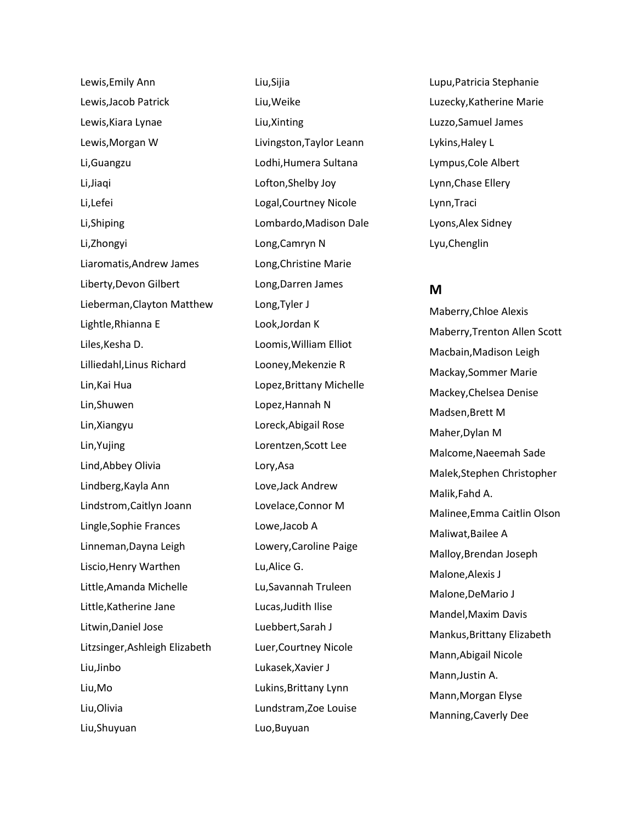Lewis,Emily Ann Lewis,Jacob Patrick Lewis,Kiara Lynae Lewis,Morgan W Li,Guangzu Li,Jiaqi Li,Lefei Li,Shiping Li,Zhongyi Liaromatis,Andrew James Liberty,Devon Gilbert Lieberman,Clayton Matthew Lightle,Rhianna E Liles,Kesha D. Lilliedahl,Linus Richard Lin,Kai Hua Lin,Shuwen Lin,Xiangyu Lin,Yujing Lind,Abbey Olivia Lindberg,Kayla Ann Lindstrom,Caitlyn Joann Lingle,Sophie Frances Linneman,Dayna Leigh Liscio,Henry Warthen Little,Amanda Michelle Little,Katherine Jane Litwin,Daniel Jose Litzsinger,Ashleigh Elizabeth Liu,Jinbo Liu,Mo Liu,Olivia Liu,Shuyuan

Liu,Sijia Liu,Weike Liu,Xinting Livingston,Taylor Leann Lodhi,Humera Sultana Lofton,Shelby Joy Logal,Courtney Nicole Lombardo,Madison Dale Long,Camryn N Long,Christine Marie Long,Darren James Long,Tyler J Look,Jordan K Loomis,William Elliot Looney,Mekenzie R Lopez,Brittany Michelle Lopez,Hannah N Loreck,Abigail Rose Lorentzen,Scott Lee Lory,Asa Love,Jack Andrew Lovelace,Connor M Lowe,Jacob A Lowery,Caroline Paige Lu,Alice G. Lu,Savannah Truleen Lucas,Judith Ilise Luebbert,Sarah J Luer,Courtney Nicole Lukasek,Xavier J Lukins,Brittany Lynn Lundstram,Zoe Louise Luo,Buyuan

Lupu,Patricia Stephanie Luzecky,Katherine Marie Luzzo,Samuel James Lykins,Haley L Lympus,Cole Albert Lynn,Chase Ellery Lynn,Traci Lyons,Alex Sidney Lyu,Chenglin

## **M**

Maberry,Chloe Alexis Maberry,Trenton Allen Scott Macbain,Madison Leigh Mackay,Sommer Marie Mackey,Chelsea Denise Madsen,Brett M Maher,Dylan M Malcome,Naeemah Sade Malek,Stephen Christopher Malik,Fahd A. Malinee,Emma Caitlin Olson Maliwat,Bailee A Malloy,Brendan Joseph Malone,Alexis J Malone,DeMario J Mandel,Maxim Davis Mankus,Brittany Elizabeth Mann,Abigail Nicole Mann,Justin A. Mann,Morgan Elyse Manning,Caverly Dee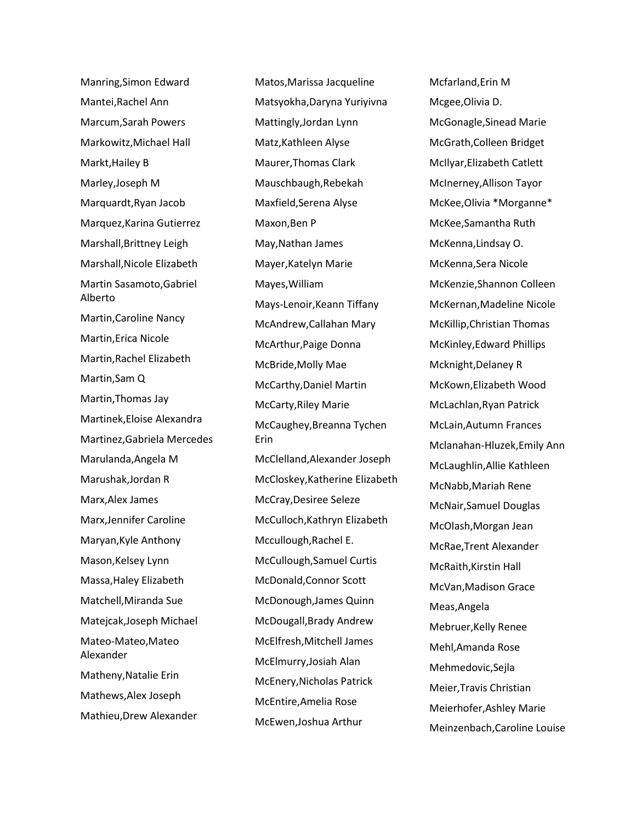Manring,Simon Edward Mantei,Rachel Ann Marcum,Sarah Powers Markowitz,Michael Hall Markt,Hailey B Marley,Joseph M Marquardt,Ryan Jacob Marquez,Karina Gutierrez Marshall,Brittney Leigh Marshall,Nicole Elizabeth Martin Sasamoto,Gabriel Alberto Martin,Caroline Nancy Martin,Erica Nicole Martin,Rachel Elizabeth Martin,Sam Q Martin,Thomas Jay Martinek,Eloise Alexandra Martinez,Gabriela Mercedes Marulanda,Angela M Marushak,Jordan R Marx,Alex James Marx,Jennifer Caroline Maryan,Kyle Anthony Mason,Kelsey Lynn Massa,Haley Elizabeth Matchell,Miranda Sue Matejcak,Joseph Michael Mateo-Mateo,Mateo Alexander Matheny,Natalie Erin Mathews,Alex Joseph Mathieu,Drew Alexander

Matos,Marissa Jacqueline Matsyokha,Daryna Yuriyivna Mattingly,Jordan Lynn Matz,Kathleen Alyse Maurer,Thomas Clark Mauschbaugh,Rebekah Maxfield,Serena Alyse Maxon,Ben P May,Nathan James Mayer,Katelyn Marie Mayes,William Mays-Lenoir,Keann Tiffany McAndrew,Callahan Mary McArthur,Paige Donna McBride,Molly Mae McCarthy,Daniel Martin McCarty,Riley Marie McCaughey,Breanna Tychen Erin McClelland,Alexander Joseph McCloskey,Katherine Elizabeth McCray,Desiree Seleze McCulloch,Kathryn Elizabeth Mccullough,Rachel E. McCullough,Samuel Curtis McDonald,Connor Scott McDonough,James Quinn McDougall,Brady Andrew McElfresh,Mitchell James McElmurry,Josiah Alan McEnery,Nicholas Patrick McEntire,Amelia Rose McEwen,Joshua Arthur

Mcfarland,Erin M Mcgee,Olivia D. McGonagle,Sinead Marie McGrath,Colleen Bridget McIlyar,Elizabeth Catlett McInerney,Allison Tayor McKee,Olivia \*Morganne\* McKee,Samantha Ruth McKenna,Lindsay O. McKenna,Sera Nicole McKenzie,Shannon Colleen McKernan,Madeline Nicole McKillip,Christian Thomas McKinley,Edward Phillips Mcknight,Delaney R McKown,Elizabeth Wood McLachlan,Ryan Patrick McLain,Autumn Frances Mclanahan-Hluzek,Emily Ann McLaughlin,Allie Kathleen McNabb,Mariah Rene McNair,Samuel Douglas McOlash,Morgan Jean McRae,Trent Alexander McRaith,Kirstin Hall McVan,Madison Grace Meas,Angela Mebruer,Kelly Renee Mehl,Amanda Rose Mehmedovic,Sejla Meier,Travis Christian Meierhofer,Ashley Marie Meinzenbach,Caroline Louise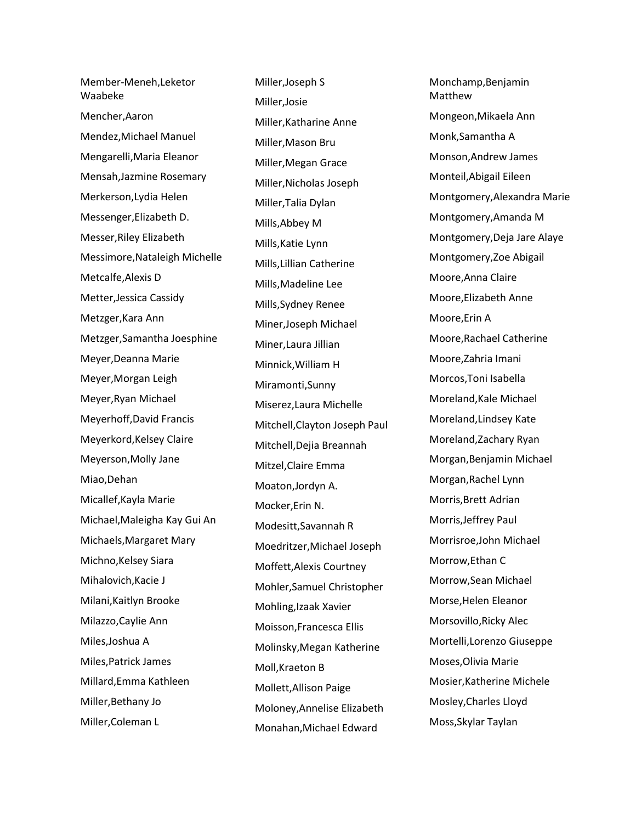Member-Meneh,Leketor Waabeke Mencher,Aaron Mendez,Michael Manuel Mengarelli,Maria Eleanor Mensah,Jazmine Rosemary Merkerson,Lydia Helen Messenger,Elizabeth D. Messer,Riley Elizabeth Messimore,Nataleigh Michelle Metcalfe,Alexis D Metter,Jessica Cassidy Metzger,Kara Ann Metzger,Samantha Joesphine Meyer,Deanna Marie Meyer,Morgan Leigh Meyer,Ryan Michael Meyerhoff,David Francis Meyerkord,Kelsey Claire Meyerson,Molly Jane Miao,Dehan Micallef,Kayla Marie Michael,Maleigha Kay Gui An Michaels,Margaret Mary Michno, Kelsey Siara Mihalovich,Kacie J Milani,Kaitlyn Brooke Milazzo,Caylie Ann Miles,Joshua A Miles,Patrick James Millard,Emma Kathleen Miller,Bethany Jo Miller,Coleman L

Miller,Joseph S Miller,Josie Miller,Katharine Anne Miller,Mason Bru Miller,Megan Grace Miller,Nicholas Joseph Miller,Talia Dylan Mills,Abbey M Mills,Katie Lynn Mills,Lillian Catherine Mills,Madeline Lee Mills,Sydney Renee Miner,Joseph Michael Miner,Laura Jillian Minnick,William H Miramonti,Sunny Miserez,Laura Michelle Mitchell,Clayton Joseph Paul Mitchell,Dejia Breannah Mitzel,Claire Emma Moaton,Jordyn A. Mocker,Erin N. Modesitt,Savannah R Moedritzer,Michael Joseph Moffett,Alexis Courtney Mohler,Samuel Christopher Mohling,Izaak Xavier Moisson,Francesca Ellis Molinsky,Megan Katherine Moll,Kraeton B Mollett,Allison Paige Moloney,Annelise Elizabeth Monahan,Michael Edward

Monchamp,Benjamin Matthew Mongeon,Mikaela Ann Monk,Samantha A Monson,Andrew James Monteil,Abigail Eileen Montgomery,Alexandra Marie Montgomery,Amanda M Montgomery,Deja Jare Alaye Montgomery,Zoe Abigail Moore,Anna Claire Moore,Elizabeth Anne Moore,Erin A Moore,Rachael Catherine Moore,Zahria Imani Morcos,Toni Isabella Moreland,Kale Michael Moreland,Lindsey Kate Moreland,Zachary Ryan Morgan,Benjamin Michael Morgan,Rachel Lynn Morris,Brett Adrian Morris,Jeffrey Paul Morrisroe,John Michael Morrow,Ethan C Morrow,Sean Michael Morse,Helen Eleanor Morsovillo,Ricky Alec Mortelli,Lorenzo Giuseppe Moses,Olivia Marie Mosier,Katherine Michele Mosley,Charles Lloyd Moss,Skylar Taylan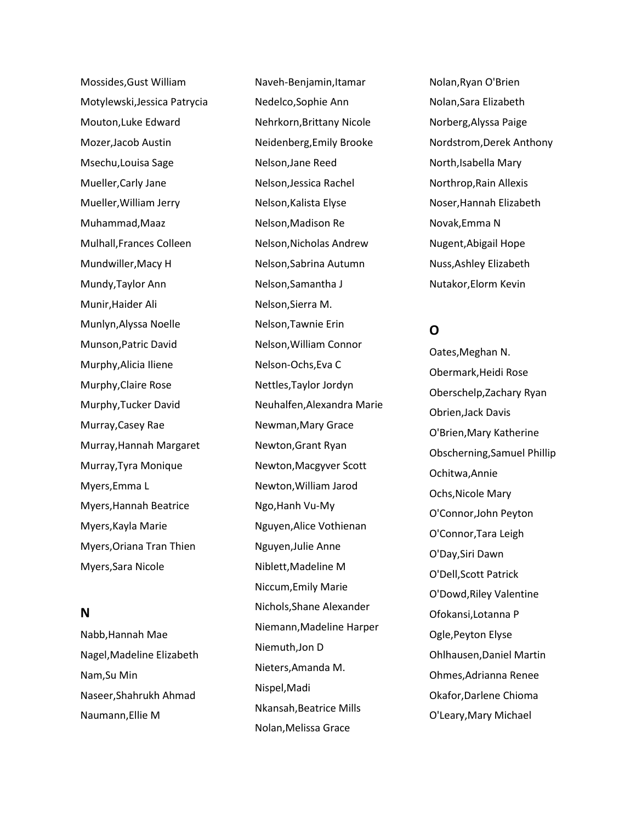Mossides,Gust William Motylewski,Jessica Patrycia Mouton,Luke Edward Mozer,Jacob Austin Msechu,Louisa Sage Mueller,Carly Jane Mueller,William Jerry Muhammad,Maaz Mulhall,Frances Colleen Mundwiller,Macy H Mundy,Taylor Ann Munir,Haider Ali Munlyn,Alyssa Noelle Munson,Patric David Murphy,Alicia Iliene Murphy,Claire Rose Murphy,Tucker David Murray,Casey Rae Murray,Hannah Margaret Murray,Tyra Monique Myers,Emma L Myers,Hannah Beatrice Myers,Kayla Marie Myers,Oriana Tran Thien Myers,Sara Nicole

## **N**

Nabb,Hannah Mae Nagel,Madeline Elizabeth Nam,Su Min Naseer,Shahrukh Ahmad Naumann,Ellie M

Naveh-Benjamin,Itamar Nedelco,Sophie Ann Nehrkorn,Brittany Nicole Neidenberg,Emily Brooke Nelson,Jane Reed Nelson,Jessica Rachel Nelson,Kalista Elyse Nelson,Madison Re Nelson,Nicholas Andrew Nelson,Sabrina Autumn Nelson,Samantha J Nelson,Sierra M. Nelson,Tawnie Erin Nelson,William Connor Nelson-Ochs,Eva C Nettles,Taylor Jordyn Neuhalfen,Alexandra Marie Newman,Mary Grace Newton,Grant Ryan Newton,Macgyver Scott Newton,William Jarod Ngo,Hanh Vu-My Nguyen,Alice Vothienan Nguyen,Julie Anne Niblett,Madeline M Niccum,Emily Marie Nichols,Shane Alexander Niemann,Madeline Harper Niemuth,Jon D Nieters,Amanda M. Nispel,Madi Nkansah,Beatrice Mills Nolan,Melissa Grace

Nolan,Ryan O'Brien Nolan,Sara Elizabeth Norberg,Alyssa Paige Nordstrom,Derek Anthony North,Isabella Mary Northrop,Rain Allexis Noser,Hannah Elizabeth Novak,Emma N Nugent,Abigail Hope Nuss,Ashley Elizabeth Nutakor,Elorm Kevin

# **O**

Oates,Meghan N. Obermark,Heidi Rose Oberschelp,Zachary Ryan Obrien,Jack Davis O'Brien,Mary Katherine Obscherning,Samuel Phillip Ochitwa,Annie Ochs,Nicole Mary O'Connor,John Peyton O'Connor,Tara Leigh O'Day,Siri Dawn O'Dell,Scott Patrick O'Dowd,Riley Valentine Ofokansi,Lotanna P Ogle,Peyton Elyse Ohlhausen,Daniel Martin Ohmes,Adrianna Renee Okafor,Darlene Chioma O'Leary,Mary Michael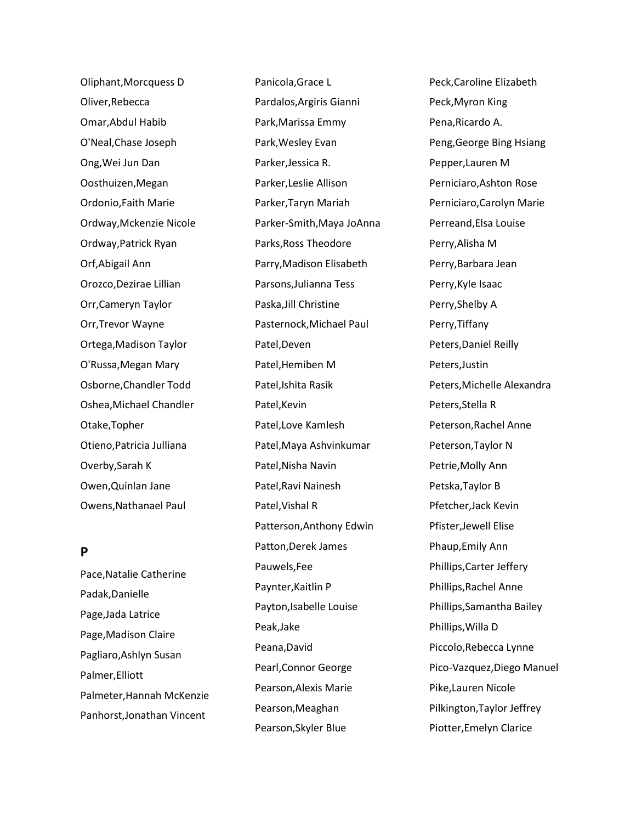Oliphant,Morcquess D Oliver,Rebecca Omar,Abdul Habib O'Neal,Chase Joseph Ong,Wei Jun Dan Oosthuizen,Megan Ordonio,Faith Marie Ordway,Mckenzie Nicole Ordway,Patrick Ryan Orf,Abigail Ann Orozco,Dezirae Lillian Orr,Cameryn Taylor Orr,Trevor Wayne Ortega,Madison Taylor O'Russa,Megan Mary Osborne,Chandler Todd Oshea,Michael Chandler Otake,Topher Otieno,Patricia Julliana Overby,Sarah K Owen,Quinlan Jane Owens,Nathanael Paul

# **P**

Pace,Natalie Catherine Padak,Danielle Page,Jada Latrice Page,Madison Claire Pagliaro,Ashlyn Susan Palmer,Elliott Palmeter,Hannah McKenzie Panhorst,Jonathan Vincent

Panicola,Grace L Pardalos,Argiris Gianni Park,Marissa Emmy Park,Wesley Evan Parker,Jessica R. Parker,Leslie Allison Parker,Taryn Mariah Parker-Smith,Maya JoAnna Parks,Ross Theodore Parry,Madison Elisabeth Parsons,Julianna Tess Paska,Jill Christine Pasternock,Michael Paul Patel,Deven Patel,Hemiben M Patel,Ishita Rasik Patel,Kevin Patel,Love Kamlesh Patel,Maya Ashvinkumar Patel,Nisha Navin Patel,Ravi Nainesh Patel,Vishal R Patterson,Anthony Edwin Patton,Derek James Pauwels,Fee Paynter,Kaitlin P Payton,Isabelle Louise Peak,Jake Peana,David Pearl,Connor George Pearson,Alexis Marie Pearson,Meaghan Pearson,Skyler Blue

Peck,Caroline Elizabeth Peck,Myron King Pena,Ricardo A. Peng,George Bing Hsiang Pepper,Lauren M Perniciaro,Ashton Rose Perniciaro,Carolyn Marie Perreand,Elsa Louise Perry,Alisha M Perry,Barbara Jean Perry,Kyle Isaac Perry,Shelby A Perry,Tiffany Peters,Daniel Reilly Peters,Justin Peters,Michelle Alexandra Peters,Stella R Peterson,Rachel Anne Peterson,Taylor N Petrie,Molly Ann Petska,Taylor B Pfetcher,Jack Kevin Pfister,Jewell Elise Phaup,Emily Ann Phillips,Carter Jeffery Phillips,Rachel Anne Phillips,Samantha Bailey Phillips,Willa D Piccolo,Rebecca Lynne Pico-Vazquez,Diego Manuel Pike,Lauren Nicole Pilkington,Taylor Jeffrey Piotter,Emelyn Clarice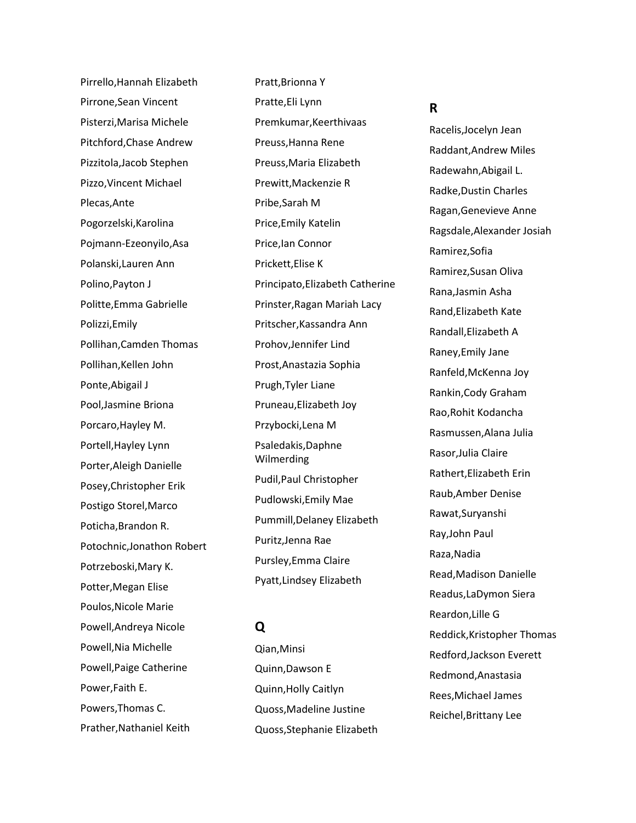Pirrello,Hannah Elizabeth Pirrone,Sean Vincent Pisterzi,Marisa Michele Pitchford,Chase Andrew Pizzitola,Jacob Stephen Pizzo,Vincent Michael Plecas,Ante Pogorzelski,Karolina Pojmann-Ezeonyilo,Asa Polanski,Lauren Ann Polino,Payton J Politte,Emma Gabrielle Polizzi,Emily Pollihan,Camden Thomas Pollihan,Kellen John Ponte,Abigail J Pool,Jasmine Briona Porcaro,Hayley M. Portell,Hayley Lynn Porter,Aleigh Danielle Posey,Christopher Erik Postigo Storel,Marco Poticha,Brandon R. Potochnic,Jonathon Robert Potrzeboski,Mary K. Potter,Megan Elise Poulos,Nicole Marie Powell,Andreya Nicole Powell,Nia Michelle Powell,Paige Catherine Power,Faith E. Powers,Thomas C. Prather,Nathaniel Keith

Pratt,Brionna Y Pratte,Eli Lynn Premkumar,Keerthivaas Preuss,Hanna Rene Preuss,Maria Elizabeth Prewitt,Mackenzie R Pribe,Sarah M Price,Emily Katelin Price,Ian Connor Prickett,Elise K Principato,Elizabeth Catherine Prinster,Ragan Mariah Lacy Pritscher,Kassandra Ann Prohov,Jennifer Lind Prost,Anastazia Sophia Prugh,Tyler Liane Pruneau,Elizabeth Joy Przybocki,Lena M Psaledakis,Daphne Wilmerding Pudil,Paul Christopher Pudlowski,Emily Mae Pummill,Delaney Elizabeth Puritz,Jenna Rae Pursley,Emma Claire Pyatt,Lindsey Elizabeth

## **Q**

Qian,Minsi Quinn,Dawson E Quinn,Holly Caitlyn Quoss,Madeline Justine Quoss,Stephanie Elizabeth

### **R**

Racelis,Jocelyn Jean Raddant,Andrew Miles Radewahn,Abigail L. Radke,Dustin Charles Ragan,Genevieve Anne Ragsdale,Alexander Josiah Ramirez,Sofia Ramirez,Susan Oliva Rana,Jasmin Asha Rand,Elizabeth Kate Randall,Elizabeth A Raney,Emily Jane Ranfeld,McKenna Joy Rankin,Cody Graham Rao,Rohit Kodancha Rasmussen,Alana Julia Rasor,Julia Claire Rathert,Elizabeth Erin Raub,Amber Denise Rawat,Suryanshi Ray,John Paul Raza,Nadia Read,Madison Danielle Readus,LaDymon Siera Reardon,Lille G Reddick,Kristopher Thomas Redford,Jackson Everett Redmond,Anastasia Rees,Michael James Reichel,Brittany Lee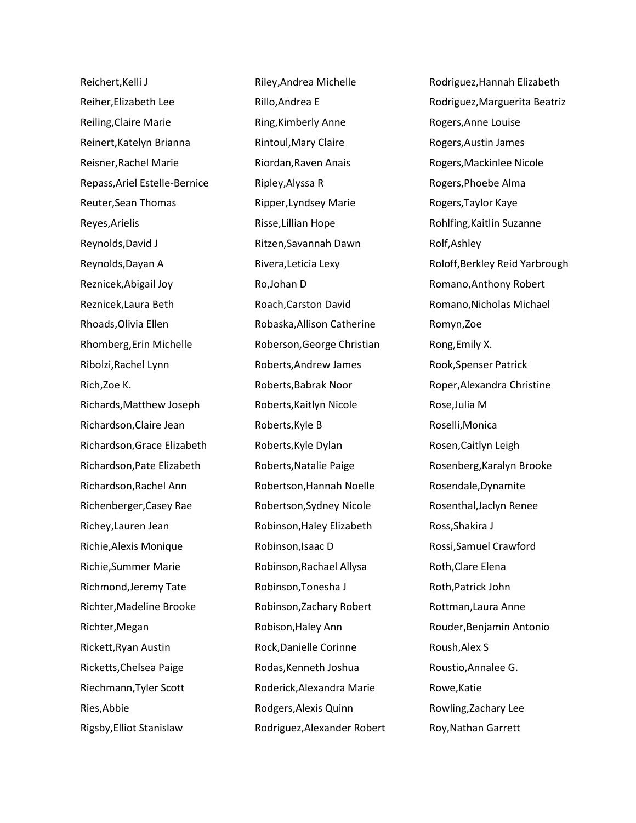Reichert,Kelli J Reiher,Elizabeth Lee Reiling,Claire Marie Reinert,Katelyn Brianna Reisner,Rachel Marie Repass,Ariel Estelle-Bernice Reuter,Sean Thomas Reyes,Arielis Reynolds,David J Reynolds,Dayan A Reznicek,Abigail Joy Reznicek,Laura Beth Rhoads,Olivia Ellen Rhomberg,Erin Michelle Ribolzi,Rachel Lynn Rich,Zoe K. Richards,Matthew Joseph Richardson,Claire Jean Richardson,Grace Elizabeth Richardson,Pate Elizabeth Richardson,Rachel Ann Richenberger,Casey Rae Richey,Lauren Jean Richie,Alexis Monique Richie,Summer Marie Richmond,Jeremy Tate Richter,Madeline Brooke Richter,Megan Rickett,Ryan Austin Ricketts,Chelsea Paige Riechmann,Tyler Scott Ries,Abbie Rigsby,Elliot Stanislaw

Riley,Andrea Michelle Rillo,Andrea E Ring,Kimberly Anne Rintoul,Mary Claire Riordan,Raven Anais Ripley,Alyssa R Ripper,Lyndsey Marie Risse,Lillian Hope Ritzen,Savannah Dawn Rivera,Leticia Lexy Ro,Johan D Roach,Carston David Robaska,Allison Catherine Roberson,George Christian Roberts,Andrew James Roberts,Babrak Noor Roberts,Kaitlyn Nicole Roberts,Kyle B Roberts,Kyle Dylan Roberts,Natalie Paige Robertson,Hannah Noelle Robertson,Sydney Nicole Robinson,Haley Elizabeth Robinson,Isaac D Robinson,Rachael Allysa Robinson,Tonesha J Robinson,Zachary Robert Robison,Haley Ann Rock,Danielle Corinne Rodas,Kenneth Joshua Roderick,Alexandra Marie Rodgers,Alexis Quinn Rodriguez,Alexander Robert Rodriguez,Hannah Elizabeth Rodriguez,Marguerita Beatriz Rogers,Anne Louise Rogers,Austin James Rogers,Mackinlee Nicole Rogers,Phoebe Alma Rogers,Taylor Kaye Rohlfing,Kaitlin Suzanne Rolf,Ashley Roloff,Berkley Reid Yarbrough Romano,Anthony Robert Romano,Nicholas Michael Romyn,Zoe Rong,Emily X. Rook,Spenser Patrick Roper,Alexandra Christine Rose,Julia M Roselli,Monica Rosen,Caitlyn Leigh Rosenberg,Karalyn Brooke Rosendale,Dynamite Rosenthal,Jaclyn Renee Ross,Shakira J Rossi,Samuel Crawford Roth,Clare Elena Roth,Patrick John Rottman,Laura Anne Rouder,Benjamin Antonio Roush,Alex S Roustio,Annalee G. Rowe,Katie Rowling,Zachary Lee Roy,Nathan Garrett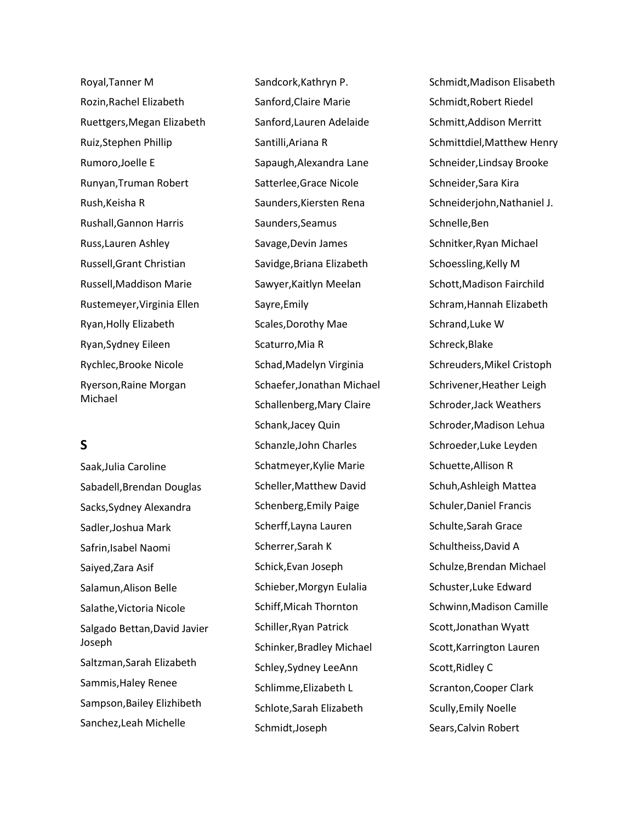Royal,Tanner M Rozin,Rachel Elizabeth Ruettgers,Megan Elizabeth Ruiz,Stephen Phillip Rumoro,Joelle E Runyan,Truman Robert Rush,Keisha R Rushall,Gannon Harris Russ,Lauren Ashley Russell,Grant Christian Russell,Maddison Marie Rustemeyer,Virginia Ellen Ryan,Holly Elizabeth Ryan,Sydney Eileen Rychlec,Brooke Nicole Ryerson,Raine Morgan Michael

# **S**

Saak,Julia Caroline Sabadell,Brendan Douglas Sacks,Sydney Alexandra Sadler,Joshua Mark Safrin,Isabel Naomi Saiyed,Zara Asif Salamun,Alison Belle Salathe,Victoria Nicole Salgado Bettan,David Javier Joseph Saltzman,Sarah Elizabeth Sammis,Haley Renee Sampson,Bailey Elizhibeth Sanchez,Leah Michelle

Sandcork,Kathryn P. Sanford,Claire Marie Sanford,Lauren Adelaide Santilli,Ariana R Sapaugh,Alexandra Lane Satterlee,Grace Nicole Saunders,Kiersten Rena Saunders,Seamus Savage,Devin James Savidge,Briana Elizabeth Sawyer,Kaitlyn Meelan Sayre,Emily Scales,Dorothy Mae Scaturro,Mia R Schad,Madelyn Virginia Schaefer,Jonathan Michael Schallenberg,Mary Claire Schank,Jacey Quin Schanzle,John Charles Schatmeyer,Kylie Marie Scheller,Matthew David Schenberg,Emily Paige Scherff,Layna Lauren Scherrer,Sarah K Schick,Evan Joseph Schieber,Morgyn Eulalia Schiff,Micah Thornton Schiller,Ryan Patrick Schinker,Bradley Michael Schley,Sydney LeeAnn Schlimme,Elizabeth L Schlote,Sarah Elizabeth Schmidt,Joseph

Schmidt,Madison Elisabeth Schmidt,Robert Riedel Schmitt,Addison Merritt Schmittdiel,Matthew Henry Schneider,Lindsay Brooke Schneider,Sara Kira Schneiderjohn,Nathaniel J. Schnelle,Ben Schnitker,Ryan Michael Schoessling,Kelly M Schott,Madison Fairchild Schram,Hannah Elizabeth Schrand,Luke W Schreck,Blake Schreuders,Mikel Cristoph Schrivener,Heather Leigh Schroder,Jack Weathers Schroder,Madison Lehua Schroeder,Luke Leyden Schuette,Allison R Schuh,Ashleigh Mattea Schuler,Daniel Francis Schulte,Sarah Grace Schultheiss,David A Schulze,Brendan Michael Schuster,Luke Edward Schwinn,Madison Camille Scott,Jonathan Wyatt Scott,Karrington Lauren Scott,Ridley C Scranton,Cooper Clark Scully,Emily Noelle Sears,Calvin Robert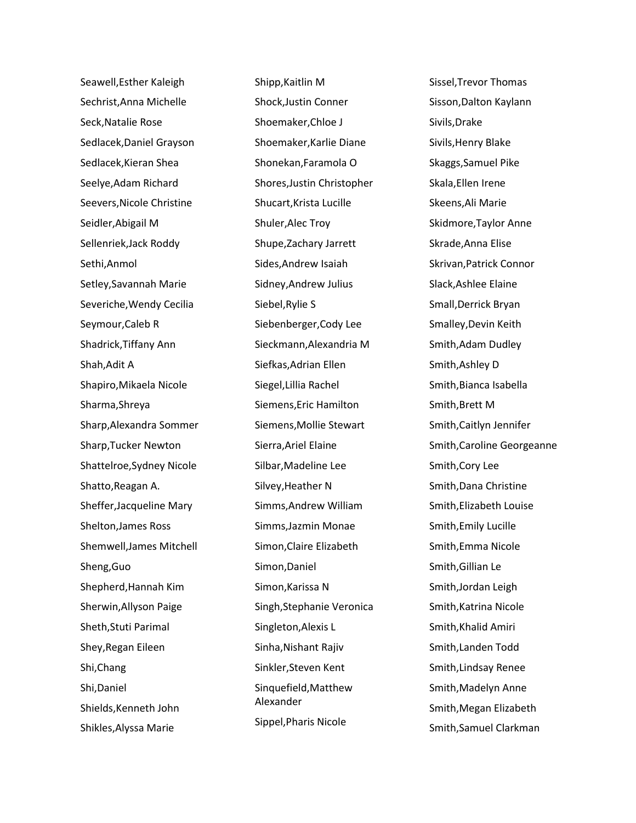Seawell,Esther Kaleigh Sechrist,Anna Michelle Seck,Natalie Rose Sedlacek,Daniel Grayson Sedlacek,Kieran Shea Seelye,Adam Richard Seevers,Nicole Christine Seidler,Abigail M Sellenriek,Jack Roddy Sethi,Anmol Setley,Savannah Marie Severiche,Wendy Cecilia Seymour,Caleb R Shadrick,Tiffany Ann Shah,Adit A Shapiro,Mikaela Nicole Sharma,Shreya Sharp,Alexandra Sommer Sharp,Tucker Newton Shattelroe,Sydney Nicole Shatto,Reagan A. Sheffer,Jacqueline Mary Shelton,James Ross Shemwell,James Mitchell Sheng,Guo Shepherd,Hannah Kim Sherwin,Allyson Paige Sheth,Stuti Parimal Shey,Regan Eileen Shi,Chang Shi,Daniel Shields,Kenneth John Shikles,Alyssa Marie

Shipp,Kaitlin M Shock,Justin Conner Shoemaker,Chloe J Shoemaker,Karlie Diane Shonekan,Faramola O Shores,Justin Christopher Shucart,Krista Lucille Shuler,Alec Troy Shupe,Zachary Jarrett Sides,Andrew Isaiah Sidney,Andrew Julius Siebel,Rylie S Siebenberger,Cody Lee Sieckmann,Alexandria M Siefkas,Adrian Ellen Siegel,Lillia Rachel Siemens,Eric Hamilton Siemens,Mollie Stewart Sierra,Ariel Elaine Silbar,Madeline Lee Silvey,Heather N Simms,Andrew William Simms,Jazmin Monae Simon,Claire Elizabeth Simon,Daniel Simon,Karissa N Singh,Stephanie Veronica Singleton,Alexis L Sinha,Nishant Rajiv Sinkler,Steven Kent Sinquefield,Matthew Alexander Sippel,Pharis Nicole

Sissel,Trevor Thomas Sisson,Dalton Kaylann Sivils,Drake Sivils,Henry Blake Skaggs,Samuel Pike Skala,Ellen Irene Skeens,Ali Marie Skidmore,Taylor Anne Skrade,Anna Elise Skrivan,Patrick Connor Slack,Ashlee Elaine Small,Derrick Bryan Smalley,Devin Keith Smith,Adam Dudley Smith,Ashley D Smith,Bianca Isabella Smith,Brett M Smith,Caitlyn Jennifer Smith,Caroline Georgeanne Smith,Cory Lee Smith,Dana Christine Smith,Elizabeth Louise Smith,Emily Lucille Smith,Emma Nicole Smith,Gillian Le Smith,Jordan Leigh Smith,Katrina Nicole Smith,Khalid Amiri Smith,Landen Todd Smith,Lindsay Renee Smith,Madelyn Anne Smith,Megan Elizabeth Smith,Samuel Clarkman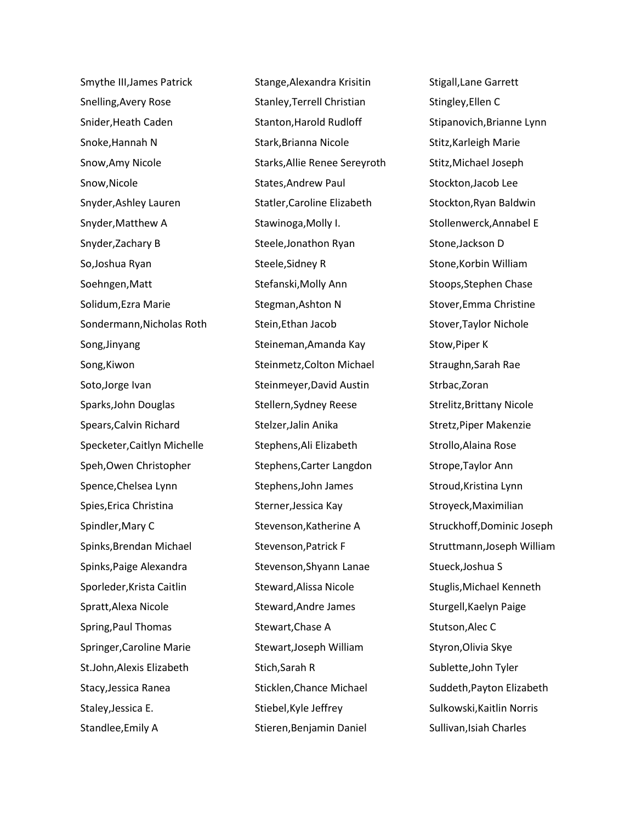Smythe III,James Patrick Snelling,Avery Rose Snider,Heath Caden Snoke,Hannah N Snow,Amy Nicole Snow,Nicole Snyder,Ashley Lauren Snyder,Matthew A Snyder,Zachary B So,Joshua Ryan Soehngen,Matt Solidum,Ezra Marie Sondermann,Nicholas Roth Song,Jinyang Song,Kiwon Soto,Jorge Ivan Sparks,John Douglas Spears,Calvin Richard Specketer,Caitlyn Michelle Speh,Owen Christopher Spence,Chelsea Lynn Spies,Erica Christina Spindler,Mary C Spinks,Brendan Michael Spinks,Paige Alexandra Sporleder,Krista Caitlin Spratt,Alexa Nicole Spring,Paul Thomas Springer,Caroline Marie St.John,Alexis Elizabeth Stacy,Jessica Ranea Staley,Jessica E. Standlee,Emily A

Stange,Alexandra Krisitin Stanley,Terrell Christian Stanton,Harold Rudloff Stark,Brianna Nicole Starks,Allie Renee Sereyroth States,Andrew Paul Statler,Caroline Elizabeth Stawinoga,Molly I. Steele,Jonathon Ryan Steele,Sidney R Stefanski,Molly Ann Stegman,Ashton N Stein,Ethan Jacob Steineman,Amanda Kay Steinmetz,Colton Michael Steinmeyer,David Austin Stellern,Sydney Reese Stelzer,Jalin Anika Stephens,Ali Elizabeth Stephens,Carter Langdon Stephens,John James Sterner,Jessica Kay Stevenson,Katherine A Stevenson,Patrick F Stevenson,Shyann Lanae Steward,Alissa Nicole Steward,Andre James Stewart,Chase A Stewart,Joseph William Stich,Sarah R Sticklen,Chance Michael Stiebel,Kyle Jeffrey Stieren,Benjamin Daniel

Stigall,Lane Garrett Stingley,Ellen C Stipanovich,Brianne Lynn Stitz,Karleigh Marie Stitz,Michael Joseph Stockton,Jacob Lee Stockton,Ryan Baldwin Stollenwerck,Annabel E Stone,Jackson D Stone,Korbin William Stoops,Stephen Chase Stover,Emma Christine Stover,Taylor Nichole Stow,Piper K Straughn,Sarah Rae Strbac,Zoran Strelitz,Brittany Nicole Stretz,Piper Makenzie Strollo,Alaina Rose Strope,Taylor Ann Stroud,Kristina Lynn Stroyeck,Maximilian Struckhoff,Dominic Joseph Struttmann,Joseph William Stueck,Joshua S Stuglis,Michael Kenneth Sturgell,Kaelyn Paige Stutson,Alec C Styron,Olivia Skye Sublette,John Tyler Suddeth,Payton Elizabeth Sulkowski,Kaitlin Norris Sullivan, Isiah Charles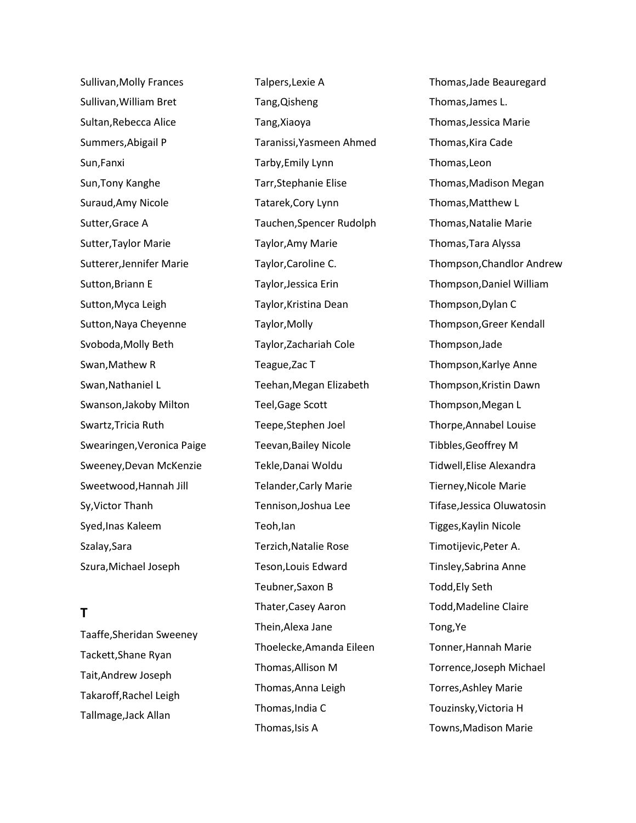Sullivan,Molly Frances Sullivan,William Bret Sultan,Rebecca Alice Summers,Abigail P Sun,Fanxi Sun,Tony Kanghe Suraud,Amy Nicole Sutter,Grace A Sutter,Taylor Marie Sutterer,Jennifer Marie Sutton,Briann E Sutton,Myca Leigh Sutton,Naya Cheyenne Svoboda,Molly Beth Swan,Mathew R Swan,Nathaniel L Swanson,Jakoby Milton Swartz,Tricia Ruth Swearingen,Veronica Paige Sweeney,Devan McKenzie Sweetwood,Hannah Jill Sy,Victor Thanh Syed,Inas Kaleem Szalay,Sara Szura,Michael Joseph

# **T**

Taaffe,Sheridan Sweeney Tackett,Shane Ryan Tait,Andrew Joseph Takaroff,Rachel Leigh Tallmage,Jack Allan

Talpers,Lexie A Tang,Qisheng Tang,Xiaoya Taranissi,Yasmeen Ahmed Tarby,Emily Lynn Tarr,Stephanie Elise Tatarek,Cory Lynn Tauchen,Spencer Rudolph Taylor,Amy Marie Taylor,Caroline C. Taylor,Jessica Erin Taylor,Kristina Dean Taylor,Molly Taylor,Zachariah Cole Teague,Zac T Teehan,Megan Elizabeth Teel,Gage Scott Teepe,Stephen Joel Teevan,Bailey Nicole Tekle,Danai Woldu Telander,Carly Marie Tennison,Joshua Lee Teoh,Ian Terzich,Natalie Rose Teson,Louis Edward Teubner,Saxon B Thater,Casey Aaron Thein,Alexa Jane Thoelecke,Amanda Eileen Thomas,Allison M Thomas,Anna Leigh Thomas,India C Thomas,Isis A

Thomas,Jade Beauregard Thomas,James L. Thomas,Jessica Marie Thomas,Kira Cade Thomas,Leon Thomas,Madison Megan Thomas,Matthew L Thomas,Natalie Marie Thomas,Tara Alyssa Thompson,Chandlor Andrew Thompson,Daniel William Thompson,Dylan C Thompson,Greer Kendall Thompson,Jade Thompson,Karlye Anne Thompson,Kristin Dawn Thompson,Megan L Thorpe,Annabel Louise Tibbles,Geoffrey M Tidwell,Elise Alexandra Tierney,Nicole Marie Tifase,Jessica Oluwatosin Tigges,Kaylin Nicole Timotijevic,Peter A. Tinsley,Sabrina Anne Todd,Ely Seth Todd,Madeline Claire Tong,Ye Tonner,Hannah Marie Torrence,Joseph Michael Torres,Ashley Marie Touzinsky,Victoria H Towns,Madison Marie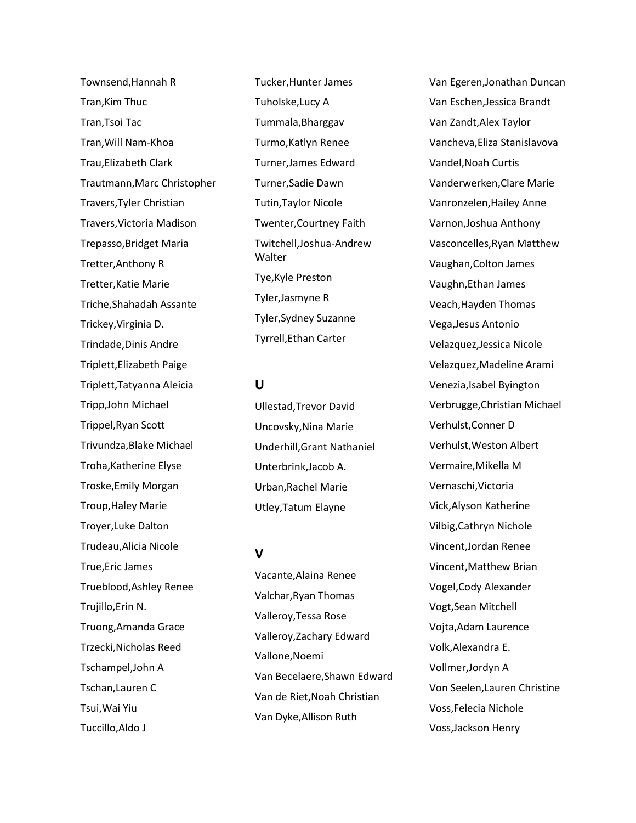Townsend,Hannah R Tran,Kim Thuc Tran,Tsoi Tac Tran,Will Nam-Khoa Trau,Elizabeth Clark Trautmann,Marc Christopher Travers,Tyler Christian Travers,Victoria Madison Trepasso,Bridget Maria Tretter,Anthony R Tretter,Katie Marie Triche,Shahadah Assante Trickey,Virginia D. Trindade,Dinis Andre Triplett,Elizabeth Paige Triplett,Tatyanna Aleicia Tripp,John Michael Trippel,Ryan Scott Trivundza,Blake Michael Troha,Katherine Elyse Troske,Emily Morgan Troup,Haley Marie Troyer,Luke Dalton Trudeau,Alicia Nicole True,Eric James Trueblood,Ashley Renee Trujillo,Erin N. Truong,Amanda Grace Trzecki,Nicholas Reed Tschampel,John A Tschan,Lauren C Tsui,Wai Yiu Tuccillo,Aldo J

Tucker,Hunter James Tuholske,Lucy A Tummala,Bharggav Turmo,Katlyn Renee Turner,James Edward Turner,Sadie Dawn Tutin,Taylor Nicole Twenter,Courtney Faith Twitchell,Joshua-Andrew Walter Tye,Kyle Preston Tyler,Jasmyne R Tyler,Sydney Suzanne Tyrrell,Ethan Carter

### **U**

Ullestad,Trevor David Uncovsky,Nina Marie Underhill,Grant Nathaniel Unterbrink,Jacob A. Urban,Rachel Marie Utley,Tatum Elayne

# **V**

Vacante,Alaina Renee Valchar,Ryan Thomas Valleroy,Tessa Rose Valleroy,Zachary Edward Vallone,Noemi Van Becelaere,Shawn Edward Van de Riet,Noah Christian Van Dyke,Allison Ruth

Van Egeren,Jonathan Duncan Van Eschen,Jessica Brandt Van Zandt,Alex Taylor Vancheva,Eliza Stanislavova Vandel,Noah Curtis Vanderwerken,Clare Marie Vanronzelen,Hailey Anne Varnon,Joshua Anthony Vasconcelles,Ryan Matthew Vaughan,Colton James Vaughn,Ethan James Veach,Hayden Thomas Vega,Jesus Antonio Velazquez,Jessica Nicole Velazquez,Madeline Arami Venezia,Isabel Byington Verbrugge,Christian Michael Verhulst,Conner D Verhulst,Weston Albert Vermaire,Mikella M Vernaschi,Victoria Vick,Alyson Katherine Vilbig,Cathryn Nichole Vincent,Jordan Renee Vincent,Matthew Brian Vogel,Cody Alexander Vogt,Sean Mitchell Vojta,Adam Laurence Volk,Alexandra E. Vollmer,Jordyn A Von Seelen,Lauren Christine Voss,Felecia Nichole Voss,Jackson Henry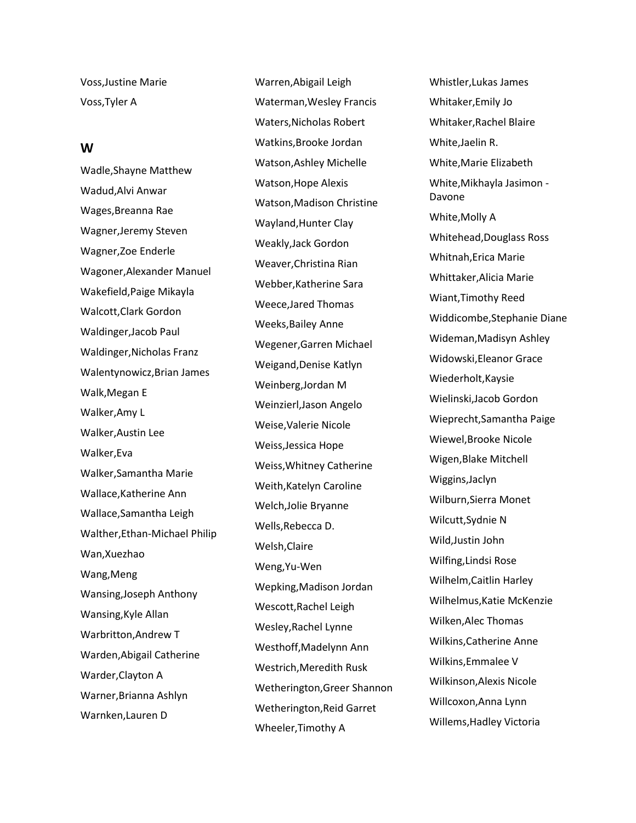Voss,Justine Marie Voss,Tyler A

#### **W**

Wadle,Shayne Matthew Wadud,Alvi Anwar Wages,Breanna Rae Wagner,Jeremy Steven Wagner,Zoe Enderle Wagoner,Alexander Manuel Wakefield,Paige Mikayla Walcott,Clark Gordon Waldinger,Jacob Paul Waldinger,Nicholas Franz Walentynowicz,Brian James Walk,Megan E Walker,Amy L Walker,Austin Lee Walker,Eva Walker,Samantha Marie Wallace,Katherine Ann Wallace,Samantha Leigh Walther,Ethan-Michael Philip Wan,Xuezhao Wang,Meng Wansing,Joseph Anthony Wansing,Kyle Allan Warbritton,Andrew T Warden,Abigail Catherine Warder,Clayton A Warner,Brianna Ashlyn Warnken,Lauren D

Warren,Abigail Leigh Waterman,Wesley Francis Waters,Nicholas Robert Watkins,Brooke Jordan Watson,Ashley Michelle Watson,Hope Alexis Watson,Madison Christine Wayland,Hunter Clay Weakly,Jack Gordon Weaver,Christina Rian Webber,Katherine Sara Weece,Jared Thomas Weeks,Bailey Anne Wegener,Garren Michael Weigand,Denise Katlyn Weinberg,Jordan M Weinzierl,Jason Angelo Weise,Valerie Nicole Weiss,Jessica Hope Weiss,Whitney Catherine Weith,Katelyn Caroline Welch,Jolie Bryanne Wells,Rebecca D. Welsh,Claire Weng,Yu-Wen Wepking,Madison Jordan Wescott,Rachel Leigh Wesley,Rachel Lynne Westhoff,Madelynn Ann Westrich,Meredith Rusk Wetherington,Greer Shannon Wetherington,Reid Garret Wheeler,Timothy A

Whistler,Lukas James Whitaker,Emily Jo Whitaker,Rachel Blaire White,Jaelin R. White,Marie Elizabeth White,Mikhayla Jasimon - Davone White,Molly A Whitehead,Douglass Ross Whitnah,Erica Marie Whittaker,Alicia Marie Wiant,Timothy Reed Widdicombe,Stephanie Diane Wideman,Madisyn Ashley Widowski,Eleanor Grace Wiederholt,Kaysie Wielinski,Jacob Gordon Wieprecht,Samantha Paige Wiewel,Brooke Nicole Wigen,Blake Mitchell Wiggins,Jaclyn Wilburn,Sierra Monet Wilcutt,Sydnie N Wild,Justin John Wilfing,Lindsi Rose Wilhelm,Caitlin Harley Wilhelmus,Katie McKenzie Wilken,Alec Thomas Wilkins,Catherine Anne Wilkins,Emmalee V Wilkinson,Alexis Nicole Willcoxon,Anna Lynn Willems,Hadley Victoria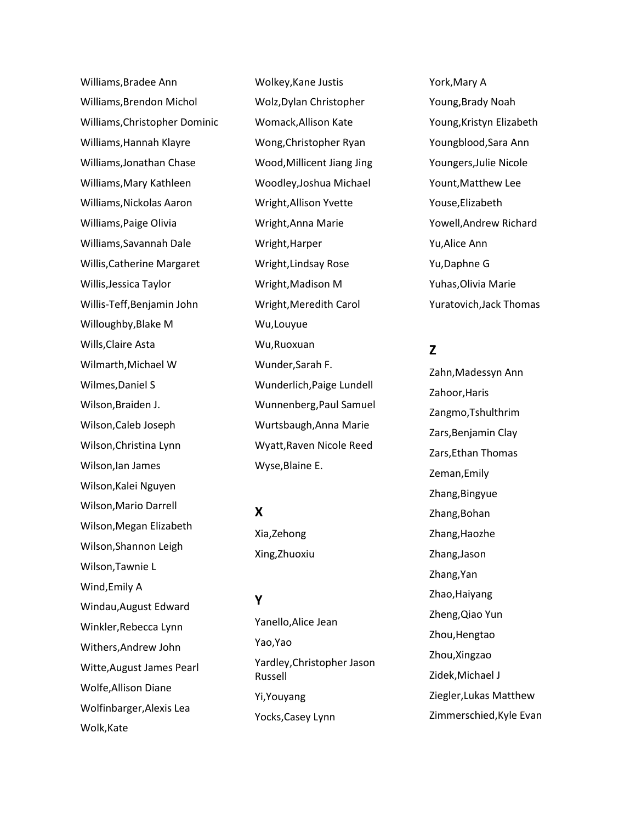Williams,Bradee Ann Williams,Brendon Michol Williams,Christopher Dominic Williams,Hannah Klayre Williams,Jonathan Chase Williams,Mary Kathleen Williams,Nickolas Aaron Williams,Paige Olivia Williams,Savannah Dale Willis,Catherine Margaret Willis,Jessica Taylor Willis-Teff,Benjamin John Willoughby,Blake M Wills,Claire Asta Wilmarth,Michael W Wilmes,Daniel S Wilson,Braiden J. Wilson,Caleb Joseph Wilson,Christina Lynn Wilson,Ian James Wilson,Kalei Nguyen Wilson,Mario Darrell Wilson,Megan Elizabeth Wilson,Shannon Leigh Wilson,Tawnie L Wind,Emily A Windau,August Edward Winkler,Rebecca Lynn Withers,Andrew John Witte,August James Pearl Wolfe,Allison Diane Wolfinbarger,Alexis Lea Wolk,Kate

Wolkey,Kane Justis Wolz,Dylan Christopher Womack,Allison Kate Wong,Christopher Ryan Wood,Millicent Jiang Jing Woodley,Joshua Michael Wright,Allison Yvette Wright,Anna Marie Wright,Harper Wright,Lindsay Rose Wright,Madison M Wright,Meredith Carol Wu,Louyue Wu,Ruoxuan Wunder,Sarah F. Wunderlich,Paige Lundell Wunnenberg,Paul Samuel Wurtsbaugh,Anna Marie Wyatt,Raven Nicole Reed Wyse,Blaine E.

### **X**

Xia,Zehong Xing,Zhuoxiu

### **Y**

Yanello,Alice Jean Yao,Yao Yardley,Christopher Jason Russell Yi,Youyang Yocks,Casey Lynn

York,Mary A Young,Brady Noah Young,Kristyn Elizabeth Youngblood,Sara Ann Youngers,Julie Nicole Yount,Matthew Lee Youse,Elizabeth Yowell,Andrew Richard Yu,Alice Ann Yu,Daphne G Yuhas,Olivia Marie Yuratovich,Jack Thomas

# **Z**

Zahn,Madessyn Ann Zahoor,Haris Zangmo,Tshulthrim Zars,Benjamin Clay Zars,Ethan Thomas Zeman,Emily Zhang,Bingyue Zhang,Bohan Zhang,Haozhe Zhang,Jason Zhang,Yan Zhao,Haiyang Zheng,Qiao Yun Zhou,Hengtao Zhou,Xingzao Zidek,Michael J Ziegler,Lukas Matthew Zimmerschied,Kyle Evan